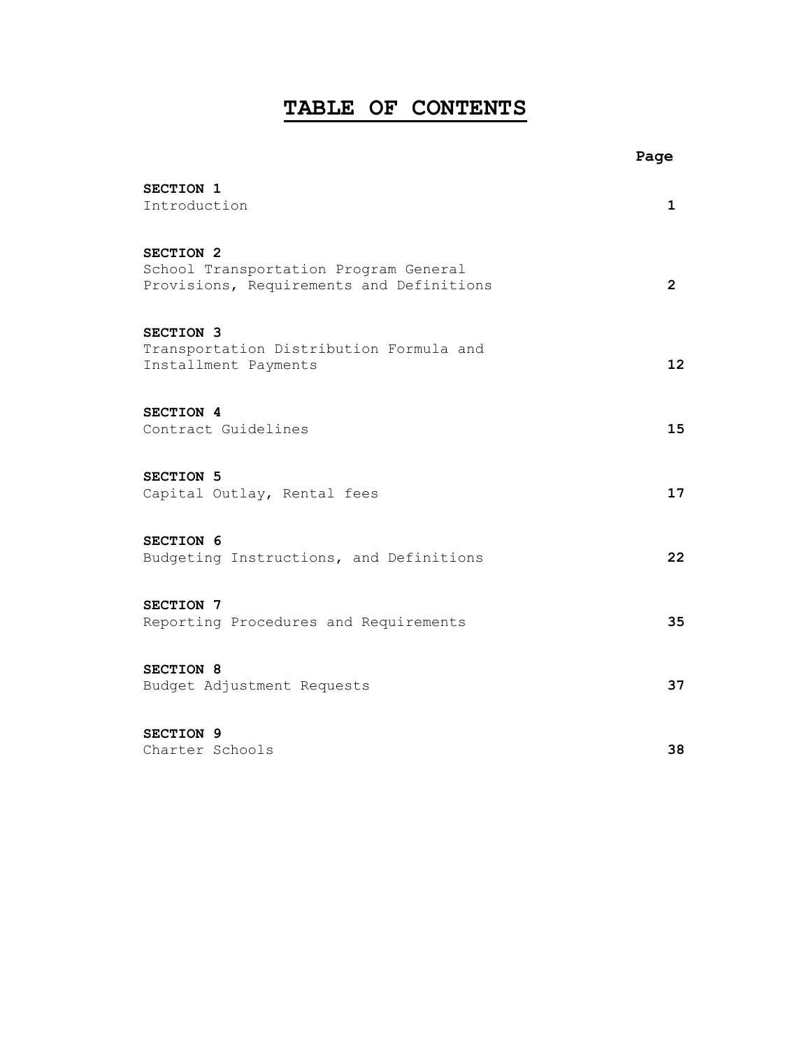# **TABLE OF CONTENTS**

|                                                                                                           | Page                  |
|-----------------------------------------------------------------------------------------------------------|-----------------------|
| SECTION 1<br>Introduction                                                                                 | 1                     |
| SECTION <sub>2</sub><br>School Transportation Program General<br>Provisions, Requirements and Definitions | $\mathbf{2}^{\prime}$ |
| SECTION 3<br>Transportation Distribution Formula and<br>Installment Payments                              | 12                    |
| SECTION 4<br>Contract Guidelines                                                                          | 15                    |
| SECTION 5<br>Capital Outlay, Rental fees                                                                  | 17                    |
| SECTION 6<br>Budgeting Instructions, and Definitions                                                      | 22                    |
| SECTION 7<br>Reporting Procedures and Requirements                                                        | 35                    |
| SECTION 8<br>Budget Adjustment Requests                                                                   | 37                    |
| SECTION 9<br>Charter Schools                                                                              | 38                    |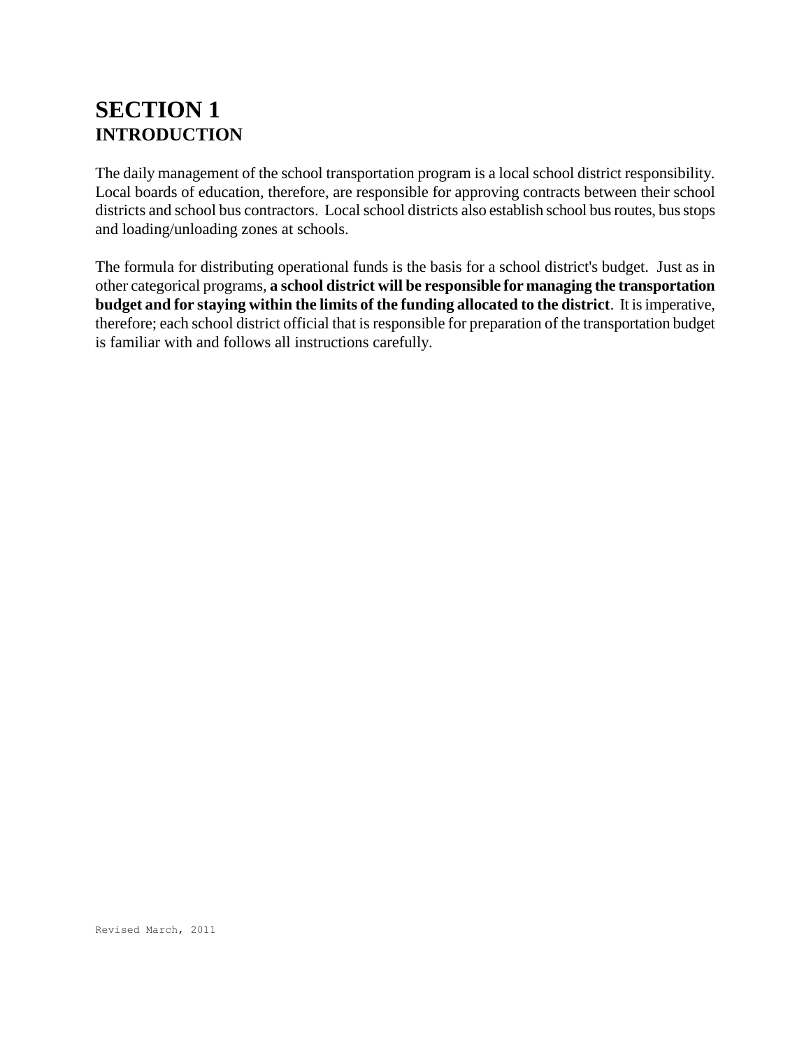# **SECTION 1 INTRODUCTION**

The daily management of the school transportation program is a local school district responsibility. Local boards of education, therefore, are responsible for approving contracts between their school districts and school bus contractors. Local school districts also establish school bus routes, bus stops and loading/unloading zones at schools.

The formula for distributing operational funds is the basis for a school district's budget. Just as in other categorical programs, **a school district will be responsible for managing the transportation budget and for staying within the limits of the funding allocated to the district**. It is imperative, therefore; each school district official that is responsible for preparation of the transportation budget is familiar with and follows all instructions carefully.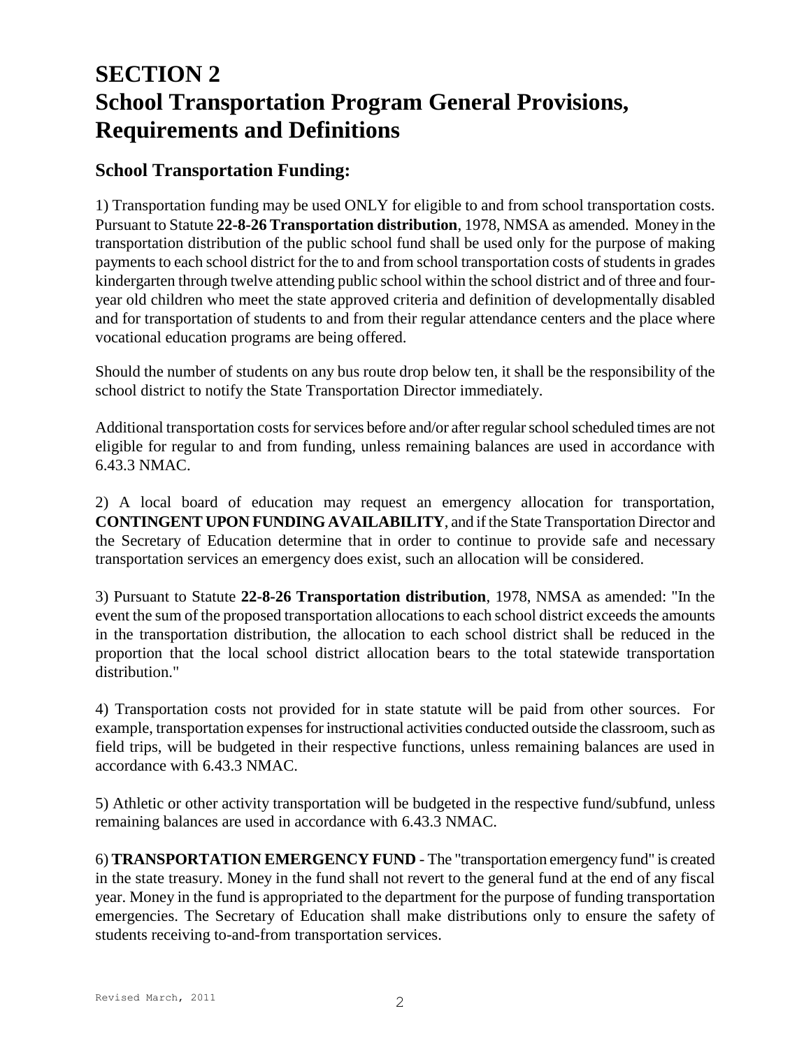# **SECTION 2 School Transportation Program General Provisions, Requirements and Definitions**

## **School Transportation Funding:**

1) Transportation funding may be used ONLY for eligible to and from school transportation costs. Pursuant to Statute **22-8-26 Transportation distribution**, 1978, NMSA as amended. Money in the transportation distribution of the public school fund shall be used only for the purpose of making payments to each school district for the to and from school transportation costs of students in grades kindergarten through twelve attending public school within the school district and of three and fouryear old children who meet the state approved criteria and definition of developmentally disabled and for transportation of students to and from their regular attendance centers and the place where vocational education programs are being offered.

Should the number of students on any bus route drop below ten, it shall be the responsibility of the school district to notify the State Transportation Director immediately.

Additional transportation costs for services before and/or after regular school scheduled times are not eligible for regular to and from funding, unless remaining balances are used in accordance with 6.43.3 NMAC.

2) A local board of education may request an emergency allocation for transportation, **CONTINGENT UPON FUNDING AVAILABILITY**, and if the State Transportation Director and the Secretary of Education determine that in order to continue to provide safe and necessary transportation services an emergency does exist, such an allocation will be considered.

3) Pursuant to Statute **22-8-26 Transportation distribution**, 1978, NMSA as amended: "In the event the sum of the proposed transportation allocations to each school district exceeds the amounts in the transportation distribution, the allocation to each school district shall be reduced in the proportion that the local school district allocation bears to the total statewide transportation distribution."

4) Transportation costs not provided for in state statute will be paid from other sources. For example, transportation expenses for instructional activities conducted outside the classroom, such as field trips, will be budgeted in their respective functions, unless remaining balances are used in accordance with 6.43.3 NMAC.

5) Athletic or other activity transportation will be budgeted in the respective fund/subfund, unless remaining balances are used in accordance with 6.43.3 NMAC.

6) **TRANSPORTATION EMERGENCY FUND** - The "transportation emergency fund" is created in the state treasury. Money in the fund shall not revert to the general fund at the end of any fiscal year. Money in the fund is appropriated to the department for the purpose of funding transportation emergencies. The Secretary of Education shall make distributions only to ensure the safety of students receiving to-and-from transportation services.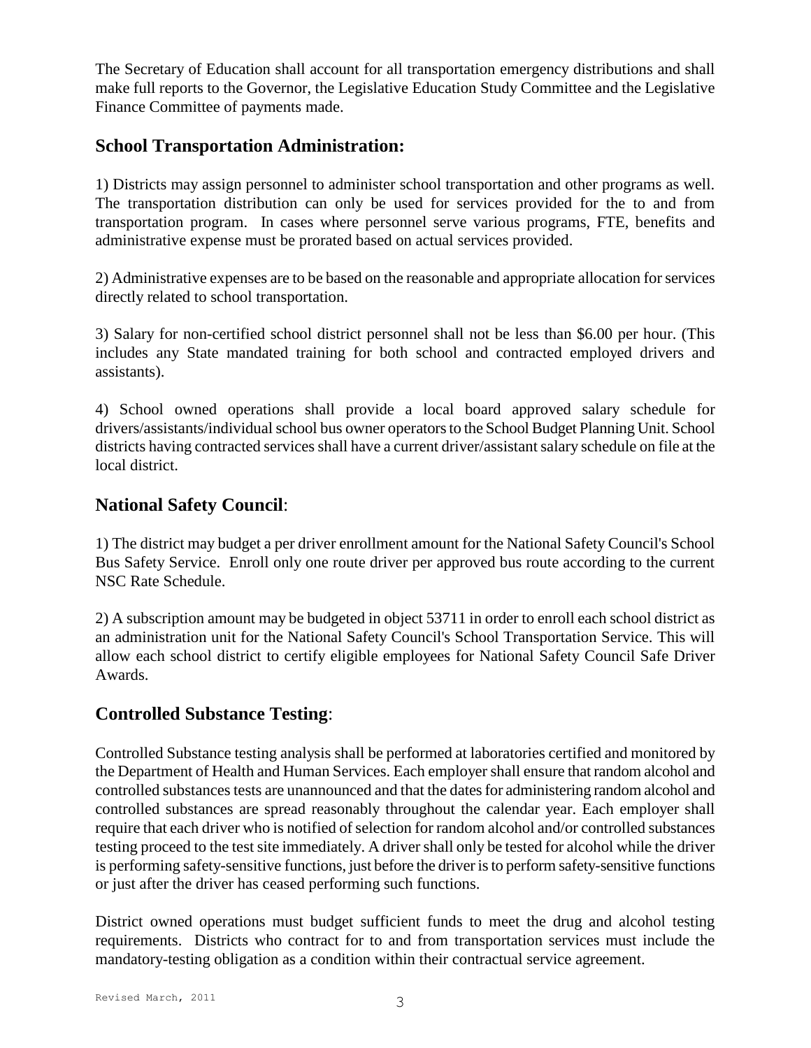The Secretary of Education shall account for all transportation emergency distributions and shall make full reports to the Governor, the Legislative Education Study Committee and the Legislative Finance Committee of payments made.

## **School Transportation Administration:**

1) Districts may assign personnel to administer school transportation and other programs as well. The transportation distribution can only be used for services provided for the to and from transportation program. In cases where personnel serve various programs, FTE, benefits and administrative expense must be prorated based on actual services provided.

2) Administrative expenses are to be based on the reasonable and appropriate allocation for services directly related to school transportation.

3) Salary for non-certified school district personnel shall not be less than \$6.00 per hour. (This includes any State mandated training for both school and contracted employed drivers and assistants).

4) School owned operations shall provide a local board approved salary schedule for drivers/assistants/individual school bus owner operators to the School Budget Planning Unit. School districts having contracted services shall have a current driver/assistant salary schedule on file at the local district.

## **National Safety Council**:

1) The district may budget a per driver enrollment amount for the National Safety Council's School Bus Safety Service. Enroll only one route driver per approved bus route according to the current NSC Rate Schedule.

2) A subscription amount may be budgeted in object 53711 in order to enroll each school district as an administration unit for the National Safety Council's School Transportation Service. This will allow each school district to certify eligible employees for National Safety Council Safe Driver Awards.

## **Controlled Substance Testing**:

Controlled Substance testing analysis shall be performed at laboratories certified and monitored by the Department of Health and Human Services. Each employer shall ensure that random alcohol and controlled substances tests are unannounced and that the dates for administering random alcohol and controlled substances are spread reasonably throughout the calendar year. Each employer shall require that each driver who is notified of selection for random alcohol and/or controlled substances testing proceed to the test site immediately. A driver shall only be tested for alcohol while the driver is performing safety-sensitive functions, just before the driver is to perform safety-sensitive functions or just after the driver has ceased performing such functions.

District owned operations must budget sufficient funds to meet the drug and alcohol testing requirements. Districts who contract for to and from transportation services must include the mandatory-testing obligation as a condition within their contractual service agreement.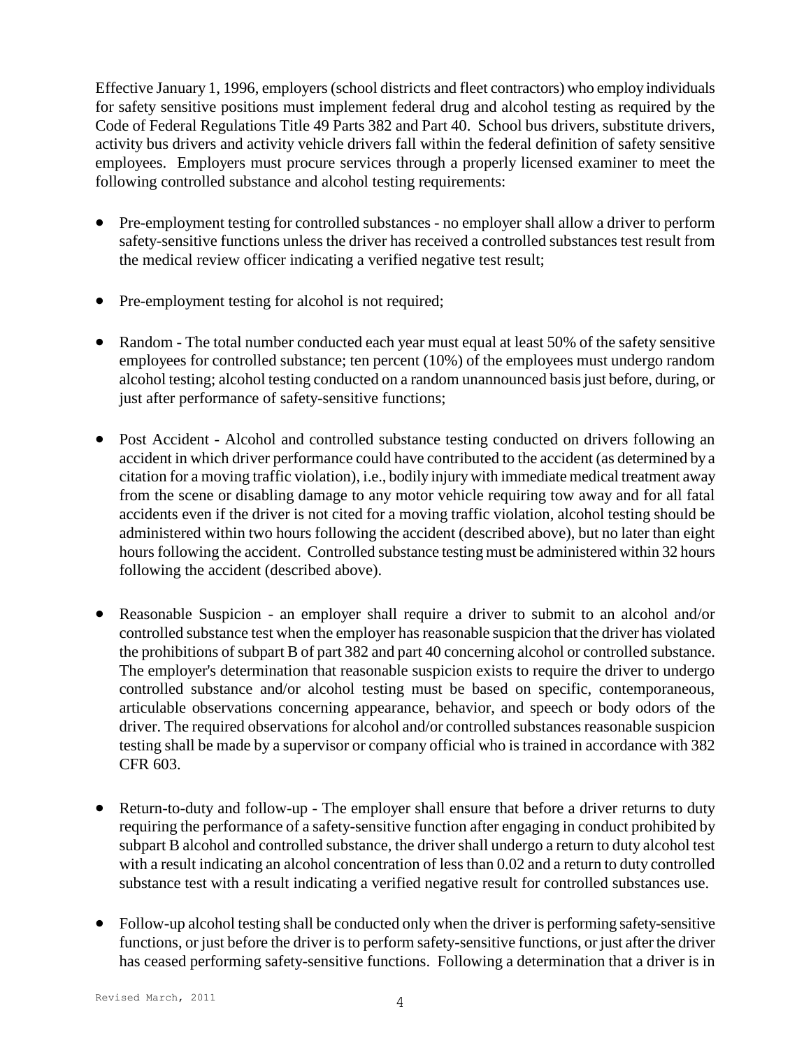Effective January 1, 1996, employers (school districts and fleet contractors) who employ individuals for safety sensitive positions must implement federal drug and alcohol testing as required by the Code of Federal Regulations Title 49 Parts 382 and Part 40. School bus drivers, substitute drivers, activity bus drivers and activity vehicle drivers fall within the federal definition of safety sensitive employees. Employers must procure services through a properly licensed examiner to meet the following controlled substance and alcohol testing requirements:

- Pre-employment testing for controlled substances no employer shall allow a driver to perform safety-sensitive functions unless the driver has received a controlled substances test result from the medical review officer indicating a verified negative test result;
- Pre-employment testing for alcohol is not required;
- Random The total number conducted each year must equal at least 50% of the safety sensitive employees for controlled substance; ten percent (10%) of the employees must undergo random alcohol testing; alcohol testing conducted on a random unannounced basis just before, during, or just after performance of safety-sensitive functions;
- Post Accident Alcohol and controlled substance testing conducted on drivers following an accident in which driver performance could have contributed to the accident (as determined by a citation for a moving traffic violation), i.e., bodily injury with immediate medical treatment away from the scene or disabling damage to any motor vehicle requiring tow away and for all fatal accidents even if the driver is not cited for a moving traffic violation, alcohol testing should be administered within two hours following the accident (described above), but no later than eight hours following the accident. Controlled substance testing must be administered within 32 hours following the accident (described above).
- Reasonable Suspicion an employer shall require a driver to submit to an alcohol and/or controlled substance test when the employer has reasonable suspicion that the driver has violated the prohibitions of subpart B of part 382 and part 40 concerning alcohol or controlled substance. The employer's determination that reasonable suspicion exists to require the driver to undergo controlled substance and/or alcohol testing must be based on specific, contemporaneous, articulable observations concerning appearance, behavior, and speech or body odors of the driver. The required observations for alcohol and/or controlled substances reasonable suspicion testing shall be made by a supervisor or company official who is trained in accordance with 382 CFR 603.
- Return-to-duty and follow-up The employer shall ensure that before a driver returns to duty requiring the performance of a safety-sensitive function after engaging in conduct prohibited by subpart B alcohol and controlled substance, the driver shall undergo a return to duty alcohol test with a result indicating an alcohol concentration of less than 0.02 and a return to duty controlled substance test with a result indicating a verified negative result for controlled substances use.
- Follow-up alcohol testing shall be conducted only when the driver is performing safety-sensitive functions, or just before the driver is to perform safety-sensitive functions, or just after the driver has ceased performing safety-sensitive functions. Following a determination that a driver is in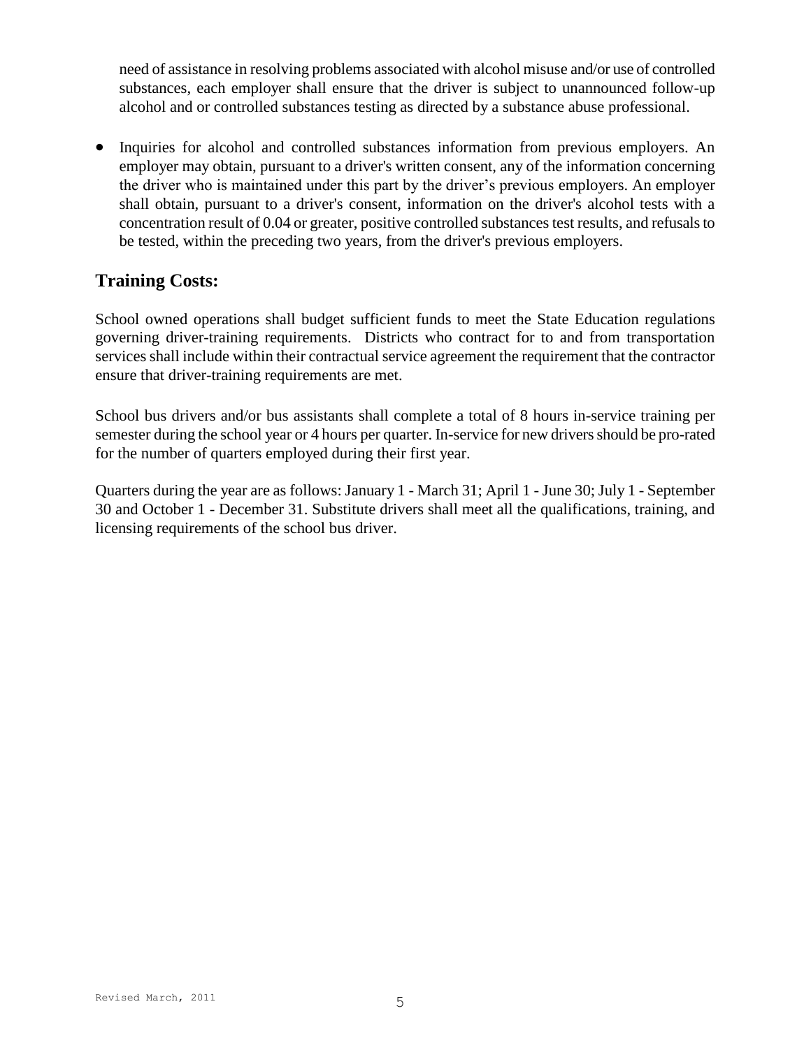need of assistance in resolving problems associated with alcohol misuse and/or use of controlled substances, each employer shall ensure that the driver is subject to unannounced follow-up alcohol and or controlled substances testing as directed by a substance abuse professional.

• Inquiries for alcohol and controlled substances information from previous employers. An employer may obtain, pursuant to a driver's written consent, any of the information concerning the driver who is maintained under this part by the driver's previous employers. An employer shall obtain, pursuant to a driver's consent, information on the driver's alcohol tests with a concentration result of 0.04 or greater, positive controlled substances test results, and refusals to be tested, within the preceding two years, from the driver's previous employers.

# **Training Costs:**

School owned operations shall budget sufficient funds to meet the State Education regulations governing driver-training requirements. Districts who contract for to and from transportation services shall include within their contractual service agreement the requirement that the contractor ensure that driver-training requirements are met.

School bus drivers and/or bus assistants shall complete a total of 8 hours in-service training per semester during the school year or 4 hours per quarter. In-service for new drivers should be pro-rated for the number of quarters employed during their first year.

Quarters during the year are as follows: January 1 - March 31; April 1 - June 30; July 1 - September 30 and October 1 - December 31. Substitute drivers shall meet all the qualifications, training, and licensing requirements of the school bus driver.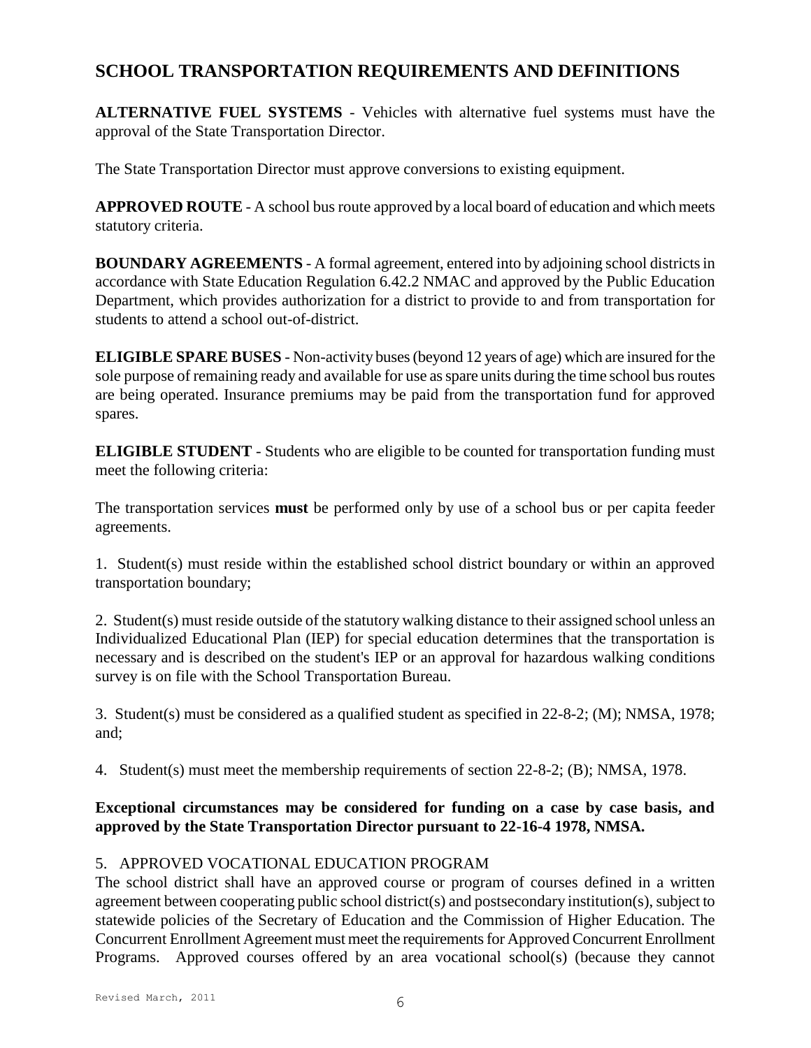# **SCHOOL TRANSPORTATION REQUIREMENTS AND DEFINITIONS**

**ALTERNATIVE FUEL SYSTEMS** - Vehicles with alternative fuel systems must have the approval of the State Transportation Director.

The State Transportation Director must approve conversions to existing equipment.

**APPROVED ROUTE** - A school bus route approved by a local board of education and which meets statutory criteria.

**BOUNDARY AGREEMENTS** - A formal agreement, entered into by adjoining school districts in accordance with State Education Regulation 6.42.2 NMAC and approved by the Public Education Department, which provides authorization for a district to provide to and from transportation for students to attend a school out-of-district.

**ELIGIBLE SPARE BUSES** - Non-activity buses (beyond 12 years of age) which are insured for the sole purpose of remaining ready and available for use as spare units during the time school bus routes are being operated. Insurance premiums may be paid from the transportation fund for approved spares.

**ELIGIBLE STUDENT** - Students who are eligible to be counted for transportation funding must meet the following criteria:

The transportation services **must** be performed only by use of a school bus or per capita feeder agreements.

1. Student(s) must reside within the established school district boundary or within an approved transportation boundary;

2. Student(s) must reside outside of the statutory walking distance to their assigned school unless an Individualized Educational Plan (IEP) for special education determines that the transportation is necessary and is described on the student's IEP or an approval for hazardous walking conditions survey is on file with the School Transportation Bureau.

3. Student(s) must be considered as a qualified student as specified in 22-8-2; (M); NMSA, 1978; and;

4. Student(s) must meet the membership requirements of section 22-8-2; (B); NMSA, 1978.

## **Exceptional circumstances may be considered for funding on a case by case basis, and approved by the State Transportation Director pursuant to 22-16-4 1978, NMSA.**

## 5. APPROVED VOCATIONAL EDUCATION PROGRAM

The school district shall have an approved course or program of courses defined in a written agreement between cooperating public school district(s) and postsecondary institution(s), subject to statewide policies of the Secretary of Education and the Commission of Higher Education. The Concurrent Enrollment Agreement must meet the requirements for Approved Concurrent Enrollment Programs. Approved courses offered by an area vocational school(s) (because they cannot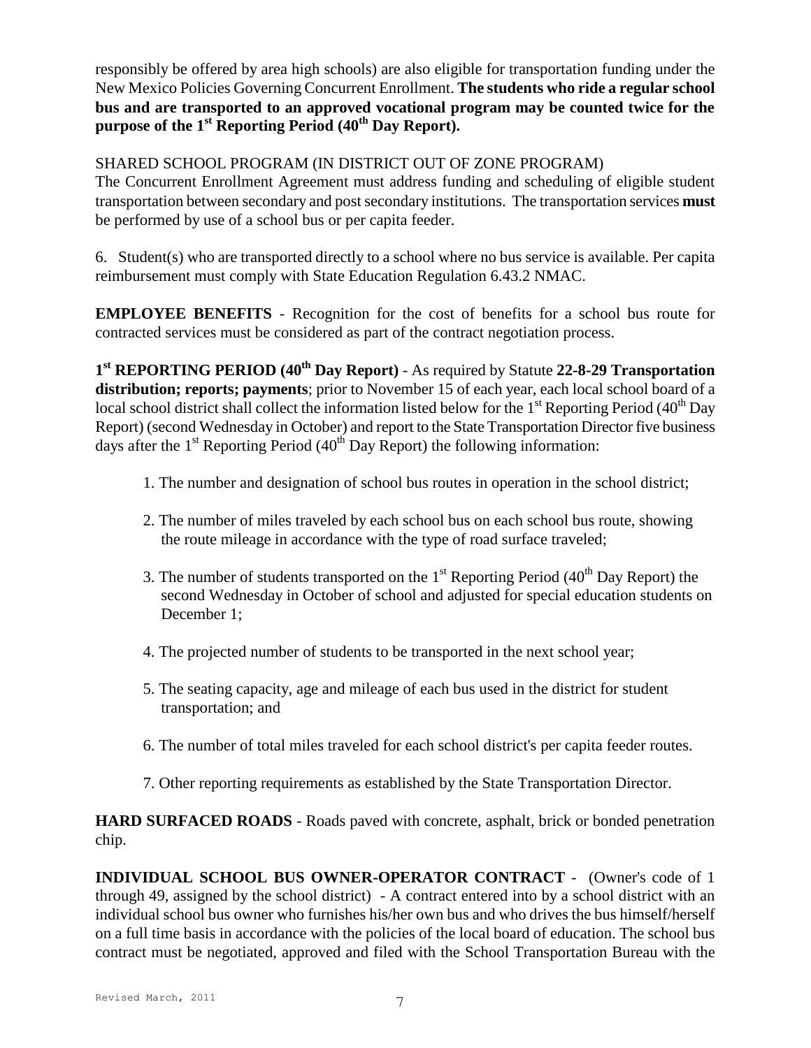responsibly be offered by area high schools) are also eligible for transportation funding under the New Mexico Policies Governing Concurrent Enrollment. **The students who ride a regular school bus and are transported to an approved vocational program may be counted twice for the purpose of the 1st Reporting Period (40th Day Report).**

## SHARED SCHOOL PROGRAM (IN DISTRICT OUT OF ZONE PROGRAM)

The Concurrent Enrollment Agreement must address funding and scheduling of eligible student transportation between secondary and post secondary institutions. The transportation services **must** be performed by use of a school bus or per capita feeder.

6. Student(s) who are transported directly to a school where no bus service is available. Per capita reimbursement must comply with State Education Regulation 6.43.2 NMAC.

**EMPLOYEE BENEFITS** - Recognition for the cost of benefits for a school bus route for contracted services must be considered as part of the contract negotiation process.

**1 st REPORTING PERIOD (40th Day Report)** - As required by Statute **22-8-29 Transportation distribution; reports; payments**; prior to November 15 of each year, each local school board of a local school district shall collect the information listed below for the 1<sup>st</sup> Reporting Period (40<sup>th</sup> Day Report) (second Wednesday in October) and report to the State Transportation Director five business days after the  $1<sup>st</sup>$  Reporting Period (40<sup>th</sup> Day Report) the following information:

- 1. The number and designation of school bus routes in operation in the school district;
- 2. The number of miles traveled by each school bus on each school bus route, showing the route mileage in accordance with the type of road surface traveled;
- 3. The number of students transported on the  $1<sup>st</sup>$  Reporting Period (40<sup>th</sup> Day Report) the second Wednesday in October of school and adjusted for special education students on December 1;
- 4. The projected number of students to be transported in the next school year;
- 5. The seating capacity, age and mileage of each bus used in the district for student transportation; and
- 6. The number of total miles traveled for each school district's per capita feeder routes.
- 7. Other reporting requirements as established by the State Transportation Director.

**HARD SURFACED ROADS** - Roads paved with concrete, asphalt, brick or bonded penetration chip.

**INDIVIDUAL SCHOOL BUS OWNER-OPERATOR CONTRACT** - (Owner's code of 1 through 49, assigned by the school district) - A contract entered into by a school district with an individual school bus owner who furnishes his/her own bus and who drives the bus himself/herself on a full time basis in accordance with the policies of the local board of education. The school bus contract must be negotiated, approved and filed with the School Transportation Bureau with the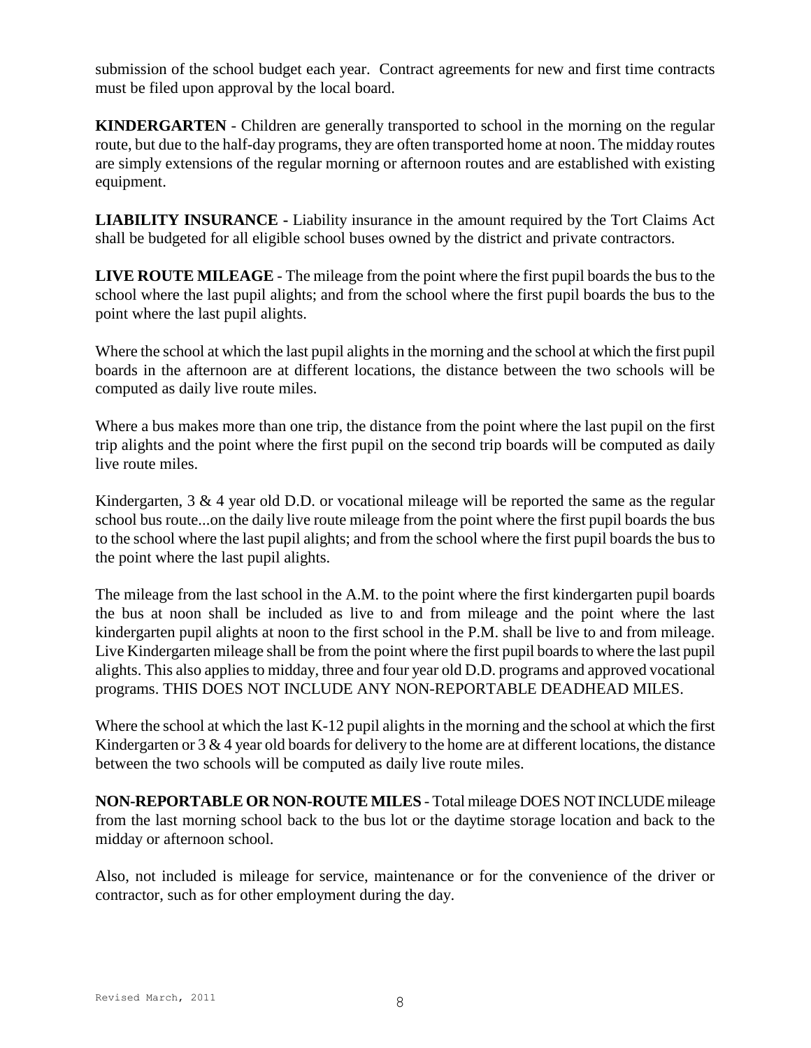submission of the school budget each year. Contract agreements for new and first time contracts must be filed upon approval by the local board.

**KINDERGARTEN** - Children are generally transported to school in the morning on the regular route, but due to the half-day programs, they are often transported home at noon. The midday routes are simply extensions of the regular morning or afternoon routes and are established with existing equipment.

**LIABILITY INSURANCE -** Liability insurance in the amount required by the Tort Claims Act shall be budgeted for all eligible school buses owned by the district and private contractors.

**LIVE ROUTE MILEAGE** - The mileage from the point where the first pupil boards the bus to the school where the last pupil alights; and from the school where the first pupil boards the bus to the point where the last pupil alights.

Where the school at which the last pupil alights in the morning and the school at which the first pupil boards in the afternoon are at different locations, the distance between the two schools will be computed as daily live route miles.

Where a bus makes more than one trip, the distance from the point where the last pupil on the first trip alights and the point where the first pupil on the second trip boards will be computed as daily live route miles.

Kindergarten, 3 & 4 year old D.D. or vocational mileage will be reported the same as the regular school bus route...on the daily live route mileage from the point where the first pupil boards the bus to the school where the last pupil alights; and from the school where the first pupil boards the bus to the point where the last pupil alights.

The mileage from the last school in the A.M. to the point where the first kindergarten pupil boards the bus at noon shall be included as live to and from mileage and the point where the last kindergarten pupil alights at noon to the first school in the P.M. shall be live to and from mileage. Live Kindergarten mileage shall be from the point where the first pupil boards to where the last pupil alights. This also applies to midday, three and four year old D.D. programs and approved vocational programs. THIS DOES NOT INCLUDE ANY NON-REPORTABLE DEADHEAD MILES.

Where the school at which the last K-12 pupil alights in the morning and the school at which the first Kindergarten or  $3 \& 4$  year old boards for delivery to the home are at different locations, the distance between the two schools will be computed as daily live route miles.

**NON-REPORTABLE OR NON-ROUTE MILES** - Total mileage DOES NOT INCLUDE mileage from the last morning school back to the bus lot or the daytime storage location and back to the midday or afternoon school.

Also, not included is mileage for service, maintenance or for the convenience of the driver or contractor, such as for other employment during the day.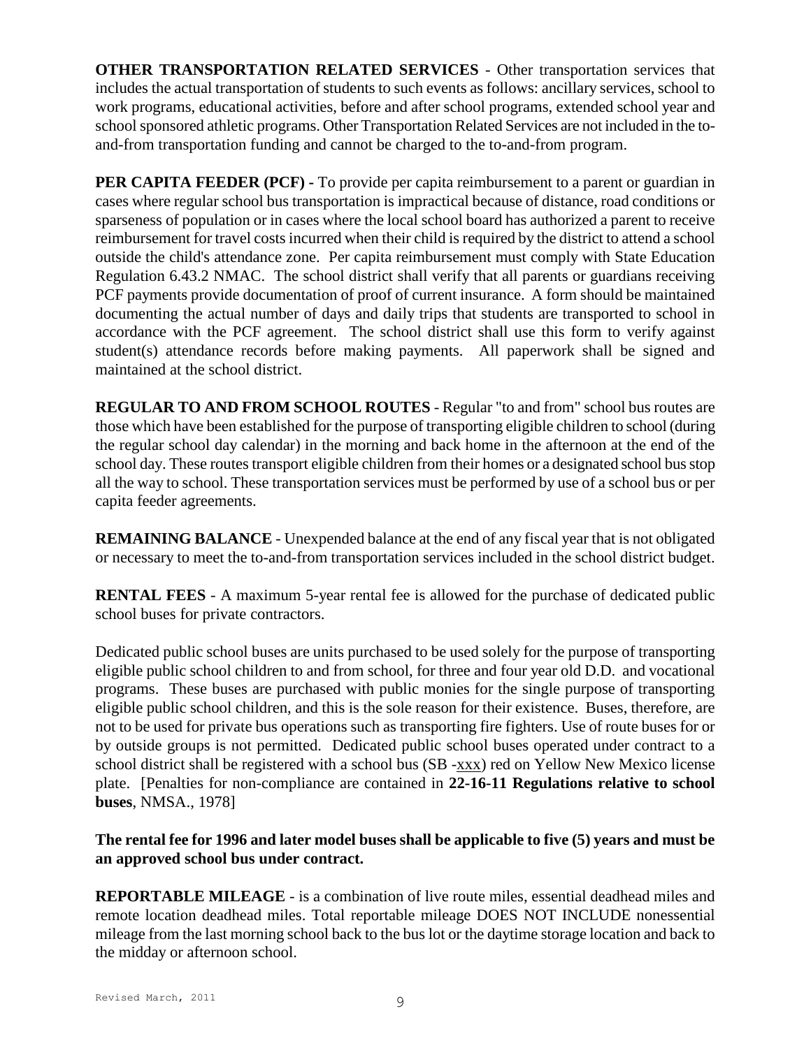**OTHER TRANSPORTATION RELATED SERVICES** - Other transportation services that includes the actual transportation of students to such events as follows: ancillary services, school to work programs, educational activities, before and after school programs, extended school year and school sponsored athletic programs. Other Transportation Related Services are not included in the toand-from transportation funding and cannot be charged to the to-and-from program.

**PER CAPITA FEEDER (PCF) -** To provide per capita reimbursement to a parent or guardian in cases where regular school bus transportation is impractical because of distance, road conditions or sparseness of population or in cases where the local school board has authorized a parent to receive reimbursement for travel costs incurred when their child is required by the district to attend a school outside the child's attendance zone. Per capita reimbursement must comply with State Education Regulation 6.43.2 NMAC. The school district shall verify that all parents or guardians receiving PCF payments provide documentation of proof of current insurance. A form should be maintained documenting the actual number of days and daily trips that students are transported to school in accordance with the PCF agreement. The school district shall use this form to verify against student(s) attendance records before making payments. All paperwork shall be signed and maintained at the school district.

**REGULAR TO AND FROM SCHOOL ROUTES** - Regular "to and from" school bus routes are those which have been established for the purpose of transporting eligible children to school (during the regular school day calendar) in the morning and back home in the afternoon at the end of the school day. These routes transport eligible children from their homes or a designated school bus stop all the way to school. These transportation services must be performed by use of a school bus or per capita feeder agreements.

**REMAINING BALANCE** - Unexpended balance at the end of any fiscal year that is not obligated or necessary to meet the to-and-from transportation services included in the school district budget.

**RENTAL FEES** - A maximum 5-year rental fee is allowed for the purchase of dedicated public school buses for private contractors.

Dedicated public school buses are units purchased to be used solely for the purpose of transporting eligible public school children to and from school, for three and four year old D.D. and vocational programs. These buses are purchased with public monies for the single purpose of transporting eligible public school children, and this is the sole reason for their existence. Buses, therefore, are not to be used for private bus operations such as transporting fire fighters. Use of route buses for or by outside groups is not permitted. Dedicated public school buses operated under contract to a school district shall be registered with a school bus (SB -xxx) red on Yellow New Mexico license plate. [Penalties for non-compliance are contained in **22-16-11 Regulations relative to school buses**, NMSA., 1978]

## **The rental fee for 1996 and later model buses shall be applicable to five (5) years and must be an approved school bus under contract.**

**REPORTABLE MILEAGE** - is a combination of live route miles, essential deadhead miles and remote location deadhead miles. Total reportable mileage DOES NOT INCLUDE nonessential mileage from the last morning school back to the bus lot or the daytime storage location and back to the midday or afternoon school.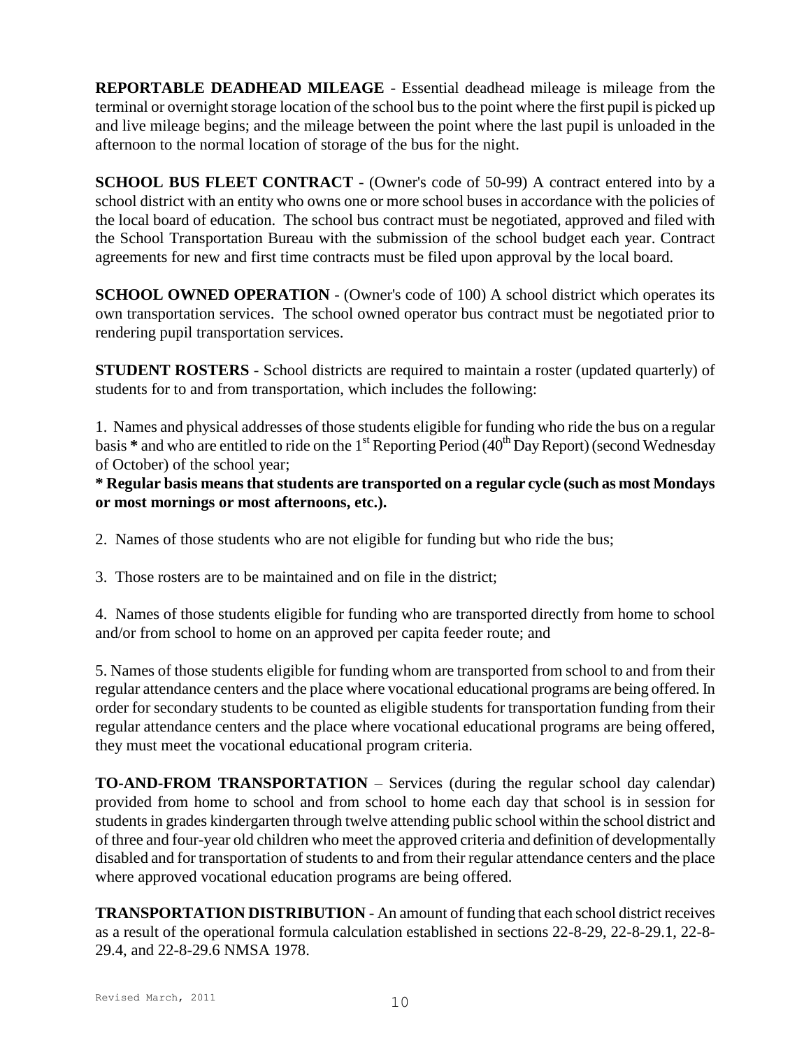**REPORTABLE DEADHEAD MILEAGE** - Essential deadhead mileage is mileage from the terminal or overnight storage location of the school bus to the point where the first pupil is picked up and live mileage begins; and the mileage between the point where the last pupil is unloaded in the afternoon to the normal location of storage of the bus for the night.

**SCHOOL BUS FLEET CONTRACT** - (Owner's code of 50-99) A contract entered into by a school district with an entity who owns one or more school buses in accordance with the policies of the local board of education. The school bus contract must be negotiated, approved and filed with the School Transportation Bureau with the submission of the school budget each year. Contract agreements for new and first time contracts must be filed upon approval by the local board.

**SCHOOL OWNED OPERATION** - (Owner's code of 100) A school district which operates its own transportation services. The school owned operator bus contract must be negotiated prior to rendering pupil transportation services.

**STUDENT ROSTERS** - School districts are required to maintain a roster (updated quarterly) of students for to and from transportation, which includes the following:

1. Names and physical addresses of those students eligible for funding who ride the bus on a regular basis \* and who are entitled to ride on the 1<sup>st</sup> Reporting Period (40<sup>th</sup> Day Report) (second Wednesday of October) of the school year;

**\* Regular basis means that students are transported on a regular cycle (such as most Mondays or most mornings or most afternoons, etc.).**

2. Names of those students who are not eligible for funding but who ride the bus;

3. Those rosters are to be maintained and on file in the district;

4. Names of those students eligible for funding who are transported directly from home to school and/or from school to home on an approved per capita feeder route; and

5. Names of those students eligible for funding whom are transported from school to and from their regular attendance centers and the place where vocational educational programs are being offered. In order for secondary students to be counted as eligible students for transportation funding from their regular attendance centers and the place where vocational educational programs are being offered, they must meet the vocational educational program criteria.

**TO-AND-FROM TRANSPORTATION** – Services (during the regular school day calendar) provided from home to school and from school to home each day that school is in session for students in grades kindergarten through twelve attending public school within the school district and of three and four-year old children who meet the approved criteria and definition of developmentally disabled and for transportation of students to and from their regular attendance centers and the place where approved vocational education programs are being offered.

**TRANSPORTATION DISTRIBUTION** - An amount of funding that each school district receives as a result of the operational formula calculation established in sections 22-8-29, 22-8-29.1, 22-8- 29.4, and 22-8-29.6 NMSA 1978.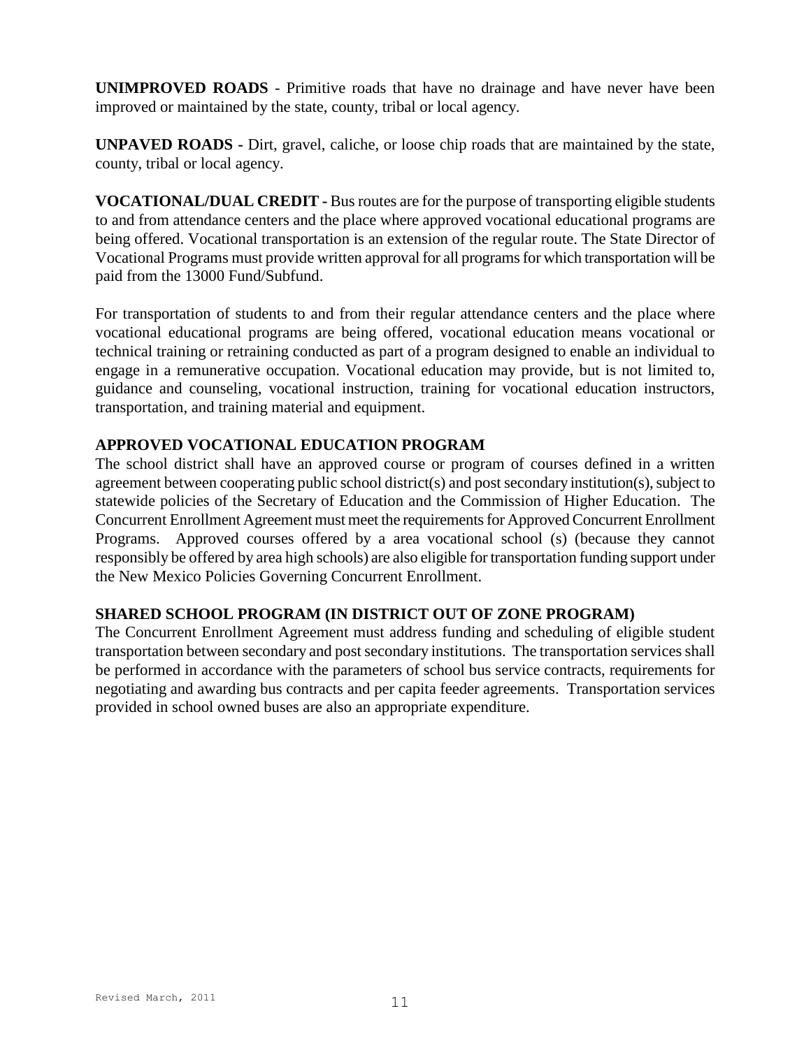**UNIMPROVED ROADS** - Primitive roads that have no drainage and have never have been improved or maintained by the state, county, tribal or local agency.

**UNPAVED ROADS -** Dirt, gravel, caliche, or loose chip roads that are maintained by the state, county, tribal or local agency.

**VOCATIONAL/DUAL CREDIT -** Bus routes are for the purpose of transporting eligible students to and from attendance centers and the place where approved vocational educational programs are being offered. Vocational transportation is an extension of the regular route. The State Director of Vocational Programs must provide written approval for all programs for which transportation will be paid from the 13000 Fund/Subfund.

For transportation of students to and from their regular attendance centers and the place where vocational educational programs are being offered, vocational education means vocational or technical training or retraining conducted as part of a program designed to enable an individual to engage in a remunerative occupation. Vocational education may provide, but is not limited to, guidance and counseling, vocational instruction, training for vocational education instructors, transportation, and training material and equipment.

#### **APPROVED VOCATIONAL EDUCATION PROGRAM**

The school district shall have an approved course or program of courses defined in a written agreement between cooperating public school district(s) and post secondary institution(s), subject to statewide policies of the Secretary of Education and the Commission of Higher Education. The Concurrent Enrollment Agreement must meet the requirements for Approved Concurrent Enrollment Programs. Approved courses offered by a area vocational school (s) (because they cannot responsibly be offered by area high schools) are also eligible for transportation funding support under the New Mexico Policies Governing Concurrent Enrollment.

#### **SHARED SCHOOL PROGRAM (IN DISTRICT OUT OF ZONE PROGRAM)**

The Concurrent Enrollment Agreement must address funding and scheduling of eligible student transportation between secondary and post secondary institutions. The transportation services shall be performed in accordance with the parameters of school bus service contracts, requirements for negotiating and awarding bus contracts and per capita feeder agreements. Transportation services provided in school owned buses are also an appropriate expenditure.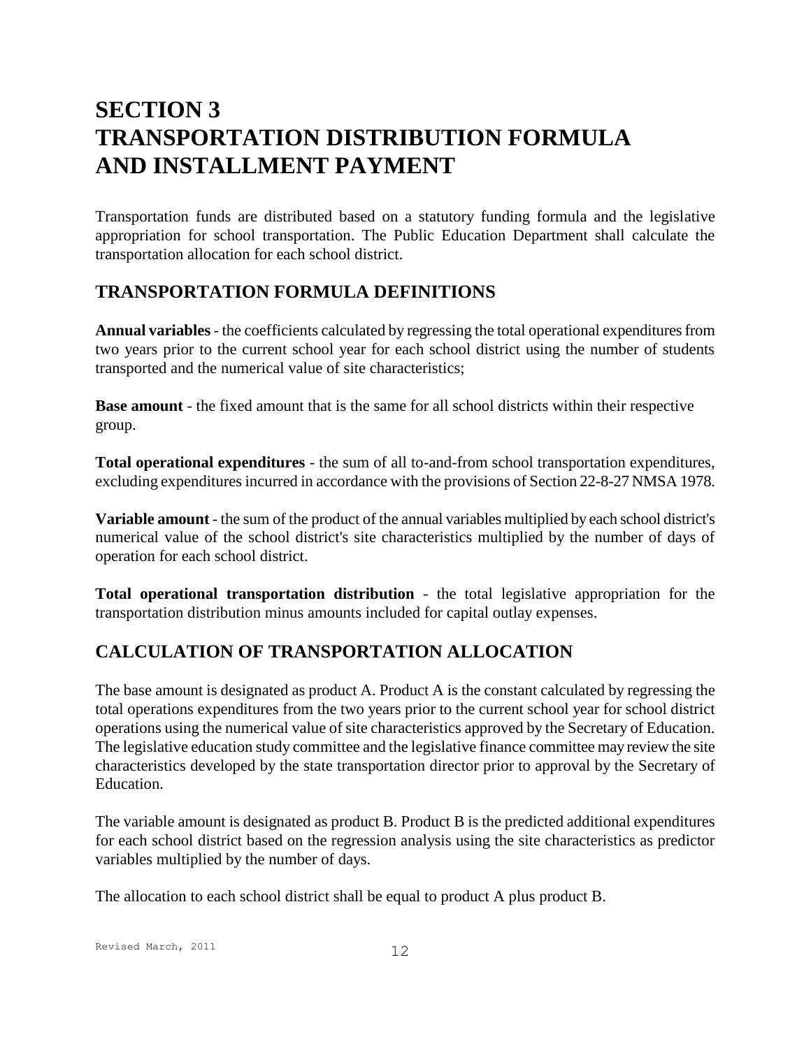# **SECTION 3 TRANSPORTATION DISTRIBUTION FORMULA AND INSTALLMENT PAYMENT**

Transportation funds are distributed based on a statutory funding formula and the legislative appropriation for school transportation. The Public Education Department shall calculate the transportation allocation for each school district.

## **TRANSPORTATION FORMULA DEFINITIONS**

**Annual variables**- the coefficients calculated by regressing the total operational expenditures from two years prior to the current school year for each school district using the number of students transported and the numerical value of site characteristics;

**Base amount** - the fixed amount that is the same for all school districts within their respective group.

**Total operational expenditures** - the sum of all to-and-from school transportation expenditures, excluding expenditures incurred in accordance with the provisions of Section 22-8-27 NMSA 1978.

**Variable amount** - the sum of the product of the annual variables multiplied by each school district's numerical value of the school district's site characteristics multiplied by the number of days of operation for each school district.

**Total operational transportation distribution** - the total legislative appropriation for the transportation distribution minus amounts included for capital outlay expenses.

# **CALCULATION OF TRANSPORTATION ALLOCATION**

The base amount is designated as product A. Product A is the constant calculated by regressing the total operations expenditures from the two years prior to the current school year for school district operations using the numerical value of site characteristics approved by the Secretary of Education. The legislative education study committee and the legislative finance committee may review the site characteristics developed by the state transportation director prior to approval by the Secretary of Education.

The variable amount is designated as product B. Product B is the predicted additional expenditures for each school district based on the regression analysis using the site characteristics as predictor variables multiplied by the number of days.

The allocation to each school district shall be equal to product A plus product B.

Revised March, 2011 12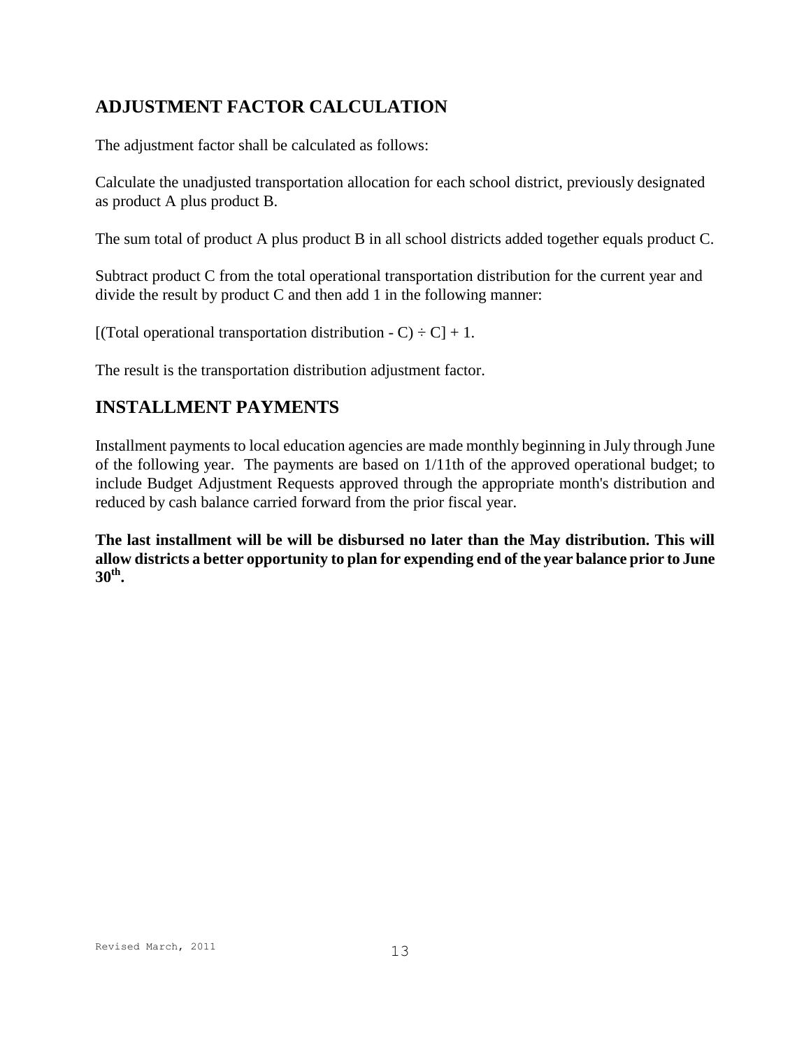# **ADJUSTMENT FACTOR CALCULATION**

The adjustment factor shall be calculated as follows:

Calculate the unadjusted transportation allocation for each school district, previously designated as product A plus product B.

The sum total of product A plus product B in all school districts added together equals product C.

Subtract product C from the total operational transportation distribution for the current year and divide the result by product C and then add 1 in the following manner:

[(Total operational transportation distribution  $-C$ )  $\div$  C]  $+1$ .

The result is the transportation distribution adjustment factor.

# **INSTALLMENT PAYMENTS**

Installment payments to local education agencies are made monthly beginning in July through June of the following year. The payments are based on 1/11th of the approved operational budget; to include Budget Adjustment Requests approved through the appropriate month's distribution and reduced by cash balance carried forward from the prior fiscal year.

**The last installment will be will be disbursed no later than the May distribution. This will allow districts a better opportunity to plan for expending end of the year balance prior to June 30th .**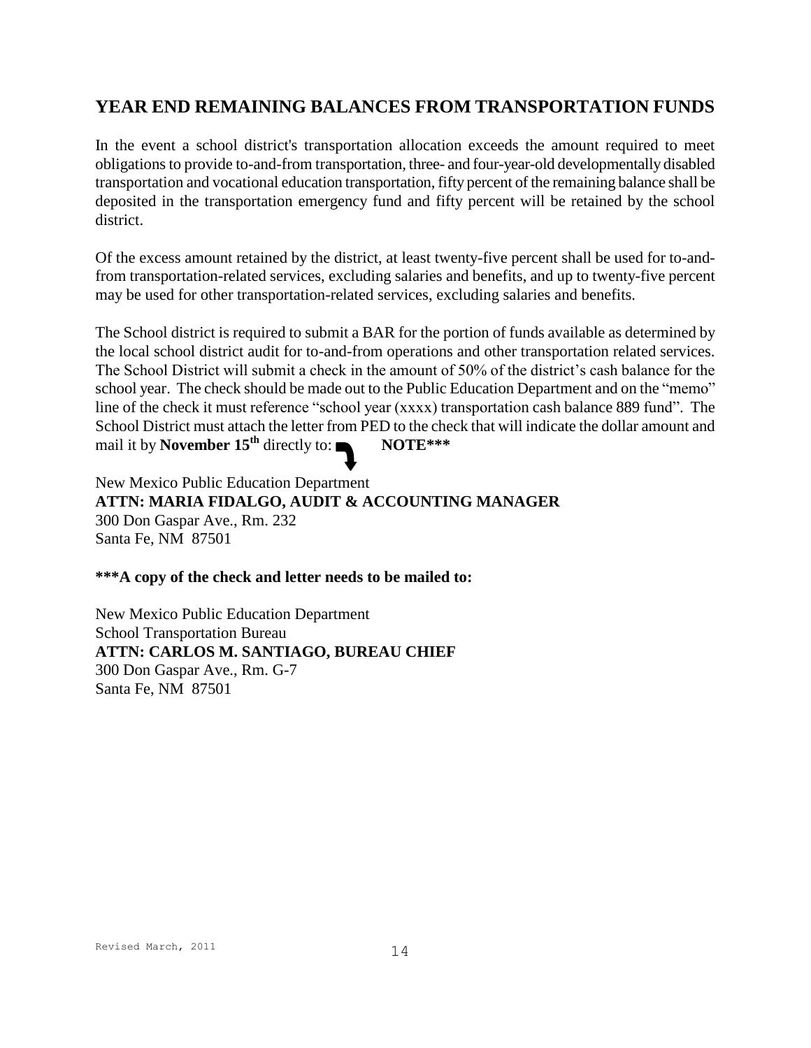# **YEAR END REMAINING BALANCES FROM TRANSPORTATION FUNDS**

In the event a school district's transportation allocation exceeds the amount required to meet obligations to provide to-and-from transportation, three- and four-year-old developmentally disabled transportation and vocational education transportation, fifty percent of the remaining balance shall be deposited in the transportation emergency fund and fifty percent will be retained by the school district.

Of the excess amount retained by the district, at least twenty-five percent shall be used for to-andfrom transportation-related services, excluding salaries and benefits, and up to twenty-five percent may be used for other transportation-related services, excluding salaries and benefits.

The School district is required to submit a BAR for the portion of funds available as determined by the local school district audit for to-and-from operations and other transportation related services. The School District will submit a check in the amount of 50% of the district's cash balance for the school year. The check should be made out to the Public Education Department and on the "memo" line of the check it must reference "school year (xxxx) transportation cash balance 889 fund". The School District must attach the letter from PED to the check that will indicate the dollar amount and mail it by **November 15th** directly to: **NOTE\*\*\***

New Mexico Public Education Department **ATTN: MARIA FIDALGO, AUDIT & ACCOUNTING MANAGER** 300 Don Gaspar Ave., Rm. 232 Santa Fe, NM 87501

**\*\*\*A copy of the check and letter needs to be mailed to:**

New Mexico Public Education Department School Transportation Bureau **ATTN: CARLOS M. SANTIAGO, BUREAU CHIEF** 300 Don Gaspar Ave., Rm. G-7 Santa Fe, NM 87501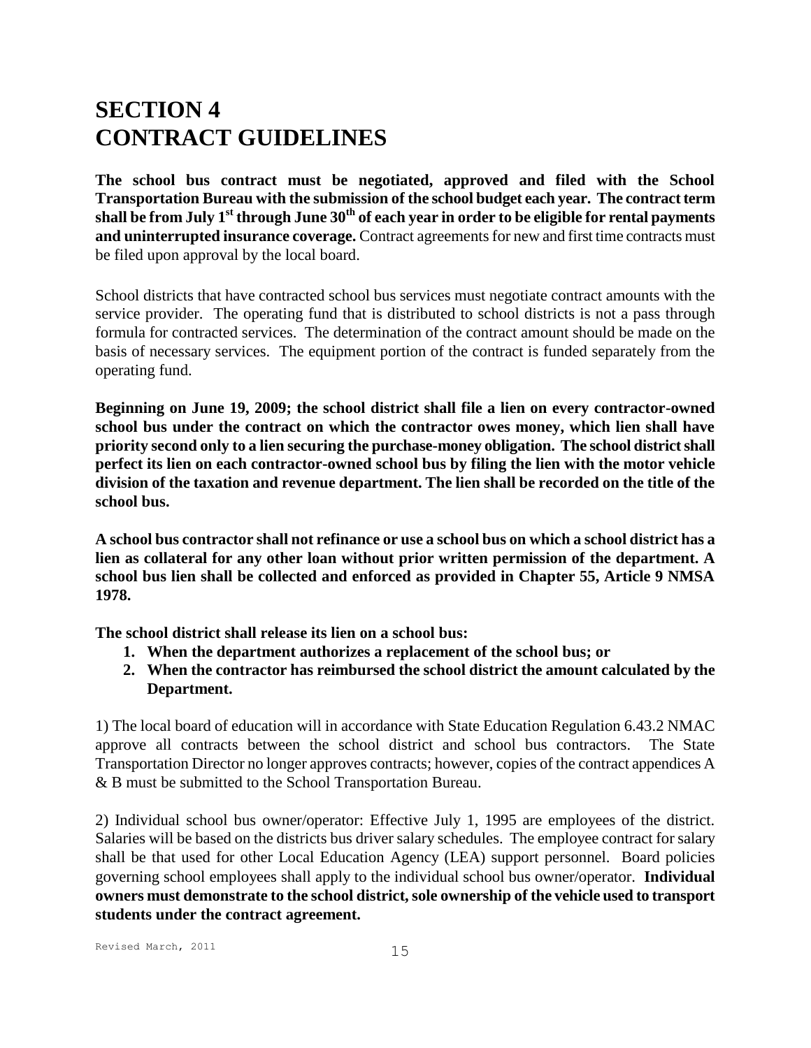# **SECTION 4 CONTRACT GUIDELINES**

**The school bus contract must be negotiated, approved and filed with the School Transportation Bureau with the submission of the school budget each year. The contract term shall be from July 1st through June 30th of each year in order to be eligible for rental payments and uninterrupted insurance coverage.** Contract agreements for new and first time contracts must be filed upon approval by the local board.

School districts that have contracted school bus services must negotiate contract amounts with the service provider. The operating fund that is distributed to school districts is not a pass through formula for contracted services. The determination of the contract amount should be made on the basis of necessary services. The equipment portion of the contract is funded separately from the operating fund.

**Beginning on June 19, 2009; the school district shall file a lien on every contractor-owned school bus under the contract on which the contractor owes money, which lien shall have priority second only to a lien securing the purchase-money obligation. The school district shall perfect its lien on each contractor-owned school bus by filing the lien with the motor vehicle division of the taxation and revenue department. The lien shall be recorded on the title of the school bus.** 

**A school bus contractor shall not refinance or use a school bus on which a school district has a lien as collateral for any other loan without prior written permission of the department. A school bus lien shall be collected and enforced as provided in Chapter 55, Article 9 NMSA 1978.** 

**The school district shall release its lien on a school bus:**

- **1. When the department authorizes a replacement of the school bus; or**
- **2. When the contractor has reimbursed the school district the amount calculated by the Department.**

1) The local board of education will in accordance with State Education Regulation 6.43.2 NMAC approve all contracts between the school district and school bus contractors. The State Transportation Director no longer approves contracts; however, copies of the contract appendices A & B must be submitted to the School Transportation Bureau.

2) Individual school bus owner/operator: Effective July 1, 1995 are employees of the district. Salaries will be based on the districts bus driver salary schedules. The employee contract for salary shall be that used for other Local Education Agency (LEA) support personnel. Board policies governing school employees shall apply to the individual school bus owner/operator. **Individual owners must demonstrate to the school district, sole ownership of the vehicle used to transport students under the contract agreement.**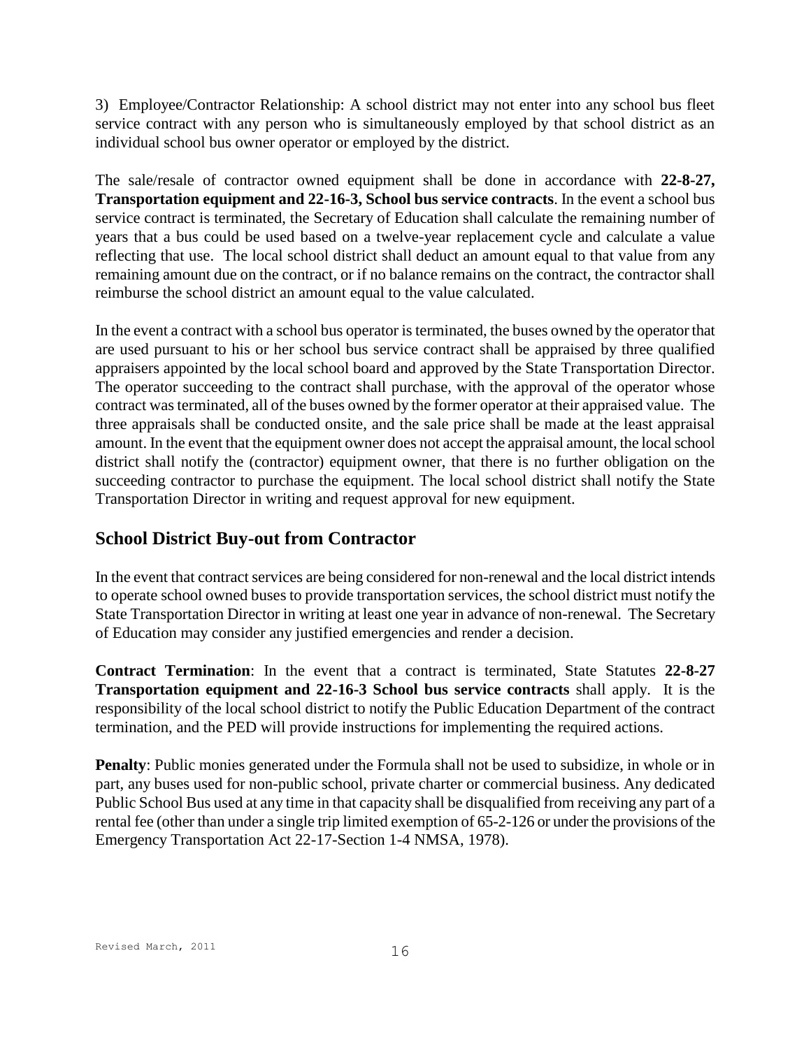3) Employee/Contractor Relationship: A school district may not enter into any school bus fleet service contract with any person who is simultaneously employed by that school district as an individual school bus owner operator or employed by the district.

The sale/resale of contractor owned equipment shall be done in accordance with **22-8-27, Transportation equipment and 22-16-3, School bus service contracts**. In the event a school bus service contract is terminated, the Secretary of Education shall calculate the remaining number of years that a bus could be used based on a twelve-year replacement cycle and calculate a value reflecting that use. The local school district shall deduct an amount equal to that value from any remaining amount due on the contract, or if no balance remains on the contract, the contractor shall reimburse the school district an amount equal to the value calculated.

In the event a contract with a school bus operator is terminated, the buses owned by the operator that are used pursuant to his or her school bus service contract shall be appraised by three qualified appraisers appointed by the local school board and approved by the State Transportation Director. The operator succeeding to the contract shall purchase, with the approval of the operator whose contract was terminated, all of the buses owned by the former operator at their appraised value. The three appraisals shall be conducted onsite, and the sale price shall be made at the least appraisal amount. In the event that the equipment owner does not accept the appraisal amount, the local school district shall notify the (contractor) equipment owner, that there is no further obligation on the succeeding contractor to purchase the equipment. The local school district shall notify the State Transportation Director in writing and request approval for new equipment.

## **School District Buy-out from Contractor**

In the event that contract services are being considered for non-renewal and the local district intends to operate school owned buses to provide transportation services, the school district must notify the State Transportation Director in writing at least one year in advance of non-renewal. The Secretary of Education may consider any justified emergencies and render a decision.

**Contract Termination**: In the event that a contract is terminated, State Statutes **22-8-27 Transportation equipment and 22-16-3 School bus service contracts** shall apply. It is the responsibility of the local school district to notify the Public Education Department of the contract termination, and the PED will provide instructions for implementing the required actions.

**Penalty**: Public monies generated under the Formula shall not be used to subsidize, in whole or in part, any buses used for non-public school, private charter or commercial business. Any dedicated Public School Bus used at any time in that capacity shall be disqualified from receiving any part of a rental fee (other than under a single trip limited exemption of 65-2-126 or under the provisions of the Emergency Transportation Act 22-17-Section 1-4 NMSA, 1978).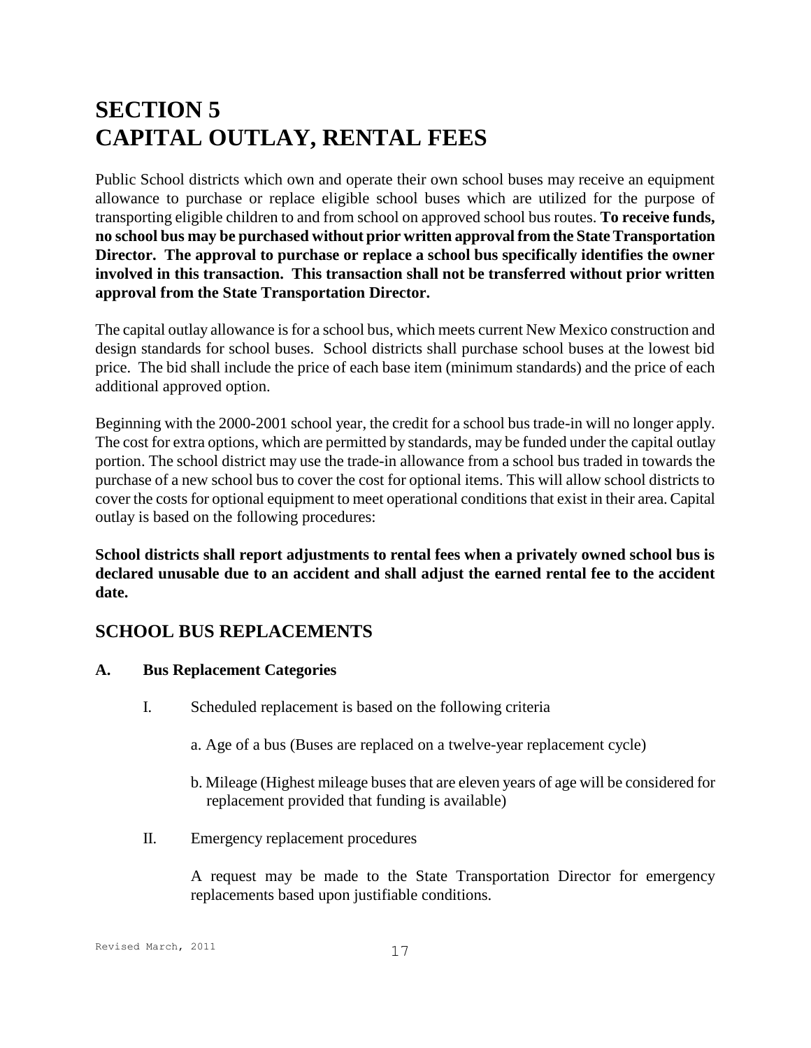# **SECTION 5 CAPITAL OUTLAY, RENTAL FEES**

Public School districts which own and operate their own school buses may receive an equipment allowance to purchase or replace eligible school buses which are utilized for the purpose of transporting eligible children to and from school on approved school bus routes. **To receive funds, no school bus may be purchased without prior written approval from the State Transportation Director. The approval to purchase or replace a school bus specifically identifies the owner involved in this transaction. This transaction shall not be transferred without prior written approval from the State Transportation Director.**

The capital outlay allowance is for a school bus, which meets current New Mexico construction and design standards for school buses. School districts shall purchase school buses at the lowest bid price. The bid shall include the price of each base item (minimum standards) and the price of each additional approved option.

Beginning with the 2000-2001 school year, the credit for a school bus trade-in will no longer apply. The cost for extra options, which are permitted by standards, may be funded under the capital outlay portion. The school district may use the trade-in allowance from a school bus traded in towards the purchase of a new school bus to cover the cost for optional items. This will allow school districts to cover the costs for optional equipment to meet operational conditions that exist in their area. Capital outlay is based on the following procedures:

**School districts shall report adjustments to rental fees when a privately owned school bus is declared unusable due to an accident and shall adjust the earned rental fee to the accident date.**

# **SCHOOL BUS REPLACEMENTS**

## **A. Bus Replacement Categories**

- I. Scheduled replacement is based on the following criteria
	- a. Age of a bus (Buses are replaced on a twelve-year replacement cycle)
	- b. Mileage (Highest mileage buses that are eleven years of age will be considered for replacement provided that funding is available)
- II. Emergency replacement procedures

A request may be made to the State Transportation Director for emergency replacements based upon justifiable conditions.

#### Revised March, 2011 17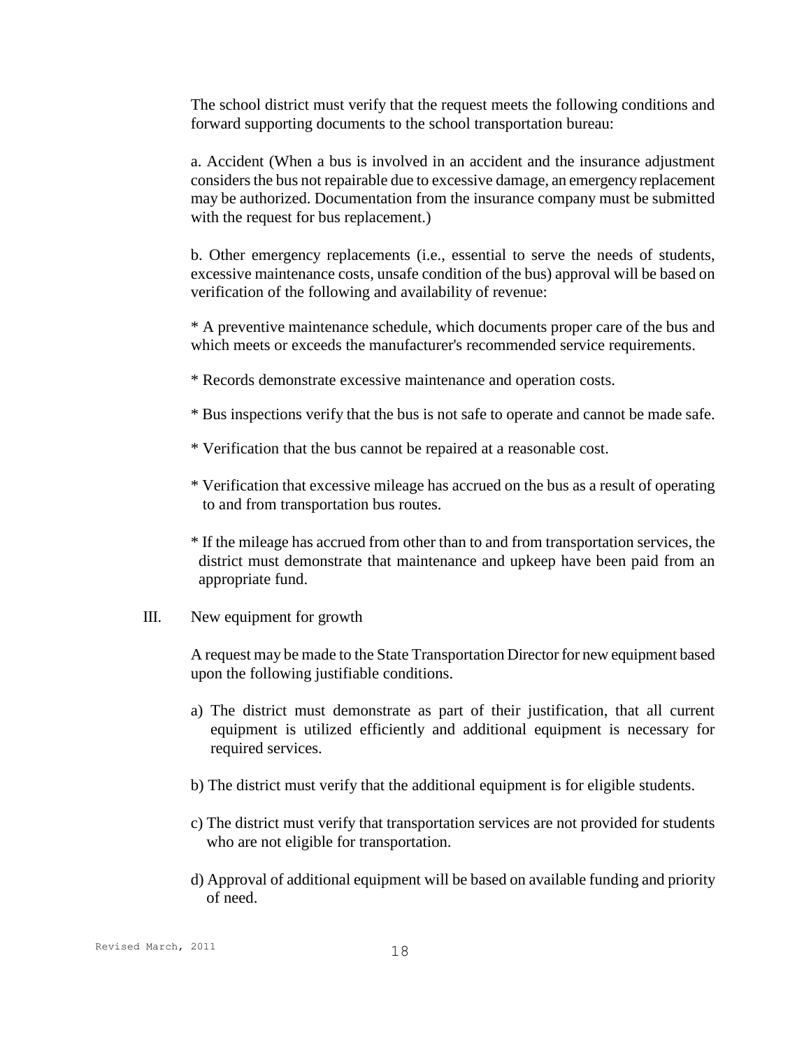The school district must verify that the request meets the following conditions and forward supporting documents to the school transportation bureau:

a. Accident (When a bus is involved in an accident and the insurance adjustment considers the bus not repairable due to excessive damage, an emergency replacement may be authorized. Documentation from the insurance company must be submitted with the request for bus replacement.)

b. Other emergency replacements (i.e., essential to serve the needs of students, excessive maintenance costs, unsafe condition of the bus) approval will be based on verification of the following and availability of revenue:

\* A preventive maintenance schedule, which documents proper care of the bus and which meets or exceeds the manufacturer's recommended service requirements.

- \* Records demonstrate excessive maintenance and operation costs.
- \* Bus inspections verify that the bus is not safe to operate and cannot be made safe.
- \* Verification that the bus cannot be repaired at a reasonable cost.
- \* Verification that excessive mileage has accrued on the bus as a result of operating to and from transportation bus routes.
- \* If the mileage has accrued from other than to and from transportation services, the district must demonstrate that maintenance and upkeep have been paid from an appropriate fund.
- III. New equipment for growth

A request may be made to the State Transportation Director for new equipment based upon the following justifiable conditions.

- a) The district must demonstrate as part of their justification, that all current equipment is utilized efficiently and additional equipment is necessary for required services.
- b) The district must verify that the additional equipment is for eligible students.
- c) The district must verify that transportation services are not provided for students who are not eligible for transportation.
- d) Approval of additional equipment will be based on available funding and priority of need.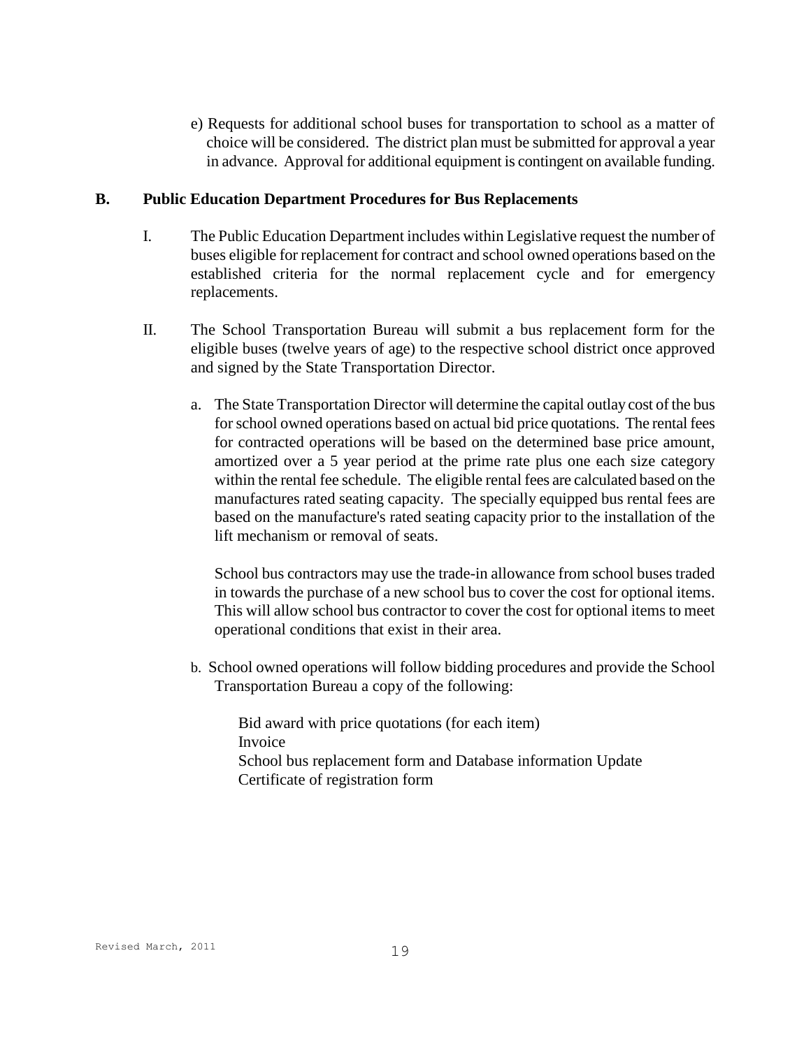e) Requests for additional school buses for transportation to school as a matter of choice will be considered. The district plan must be submitted for approval a year in advance. Approval for additional equipment is contingent on available funding.

#### **B. Public Education Department Procedures for Bus Replacements**

- I. The Public Education Department includes within Legislative request the number of buses eligible for replacement for contract and school owned operations based on the established criteria for the normal replacement cycle and for emergency replacements.
- II. The School Transportation Bureau will submit a bus replacement form for the eligible buses (twelve years of age) to the respective school district once approved and signed by the State Transportation Director.
	- a. The State Transportation Director will determine the capital outlay cost of the bus for school owned operations based on actual bid price quotations. The rental fees for contracted operations will be based on the determined base price amount, amortized over a 5 year period at the prime rate plus one each size category within the rental fee schedule. The eligible rental fees are calculated based on the manufactures rated seating capacity. The specially equipped bus rental fees are based on the manufacture's rated seating capacity prior to the installation of the lift mechanism or removal of seats.

School bus contractors may use the trade-in allowance from school buses traded in towards the purchase of a new school bus to cover the cost for optional items. This will allow school bus contractor to cover the cost for optional items to meet operational conditions that exist in their area.

b. School owned operations will follow bidding procedures and provide the School Transportation Bureau a copy of the following:

Bid award with price quotations (for each item) Invoice School bus replacement form and Database information Update Certificate of registration form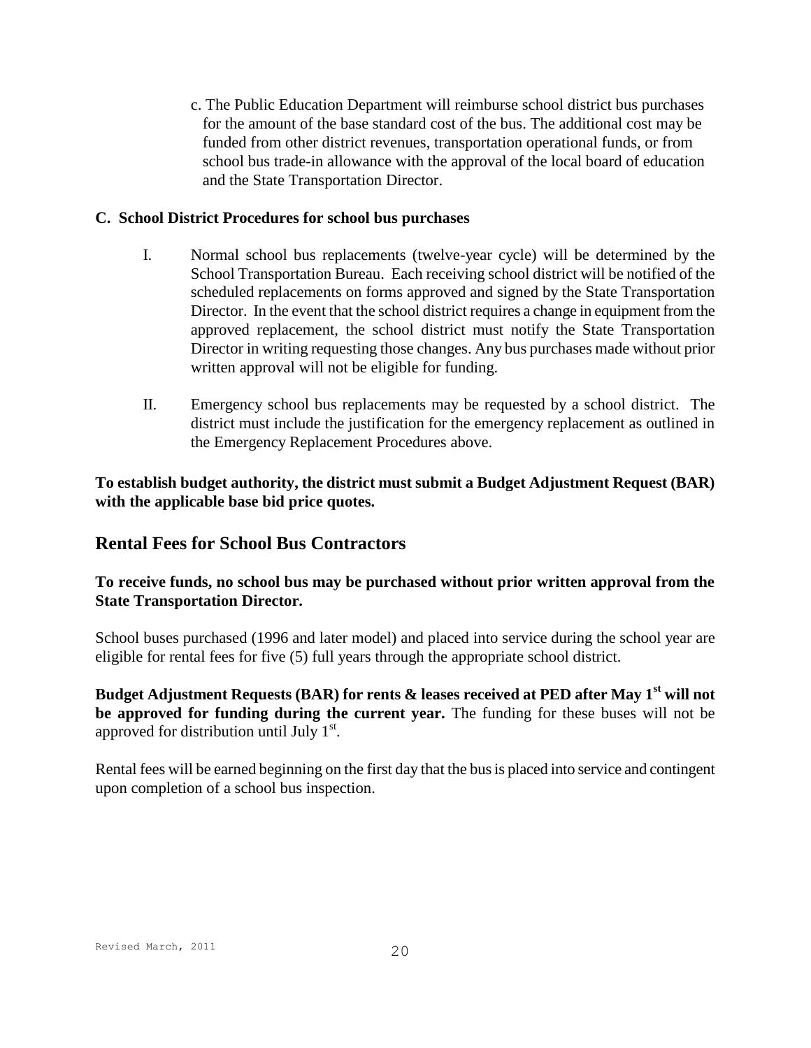c. The Public Education Department will reimburse school district bus purchases for the amount of the base standard cost of the bus. The additional cost may be funded from other district revenues, transportation operational funds, or from school bus trade-in allowance with the approval of the local board of education and the State Transportation Director.

### **C. School District Procedures for school bus purchases**

- I. Normal school bus replacements (twelve-year cycle) will be determined by the School Transportation Bureau. Each receiving school district will be notified of the scheduled replacements on forms approved and signed by the State Transportation Director. In the event that the school district requires a change in equipment from the approved replacement, the school district must notify the State Transportation Director in writing requesting those changes. Any bus purchases made without prior written approval will not be eligible for funding.
- II. Emergency school bus replacements may be requested by a school district. The district must include the justification for the emergency replacement as outlined in the Emergency Replacement Procedures above.

**To establish budget authority, the district must submit a Budget Adjustment Request (BAR) with the applicable base bid price quotes.**

## **Rental Fees for School Bus Contractors**

### **To receive funds, no school bus may be purchased without prior written approval from the State Transportation Director.**

School buses purchased (1996 and later model) and placed into service during the school year are eligible for rental fees for five (5) full years through the appropriate school district.

**Budget Adjustment Requests (BAR) for rents & leases received at PED after May 1st will not be approved for funding during the current year.** The funding for these buses will not be approved for distribution until July  $1<sup>st</sup>$ .

Rental fees will be earned beginning on the first day that the bus is placed into service and contingent upon completion of a school bus inspection.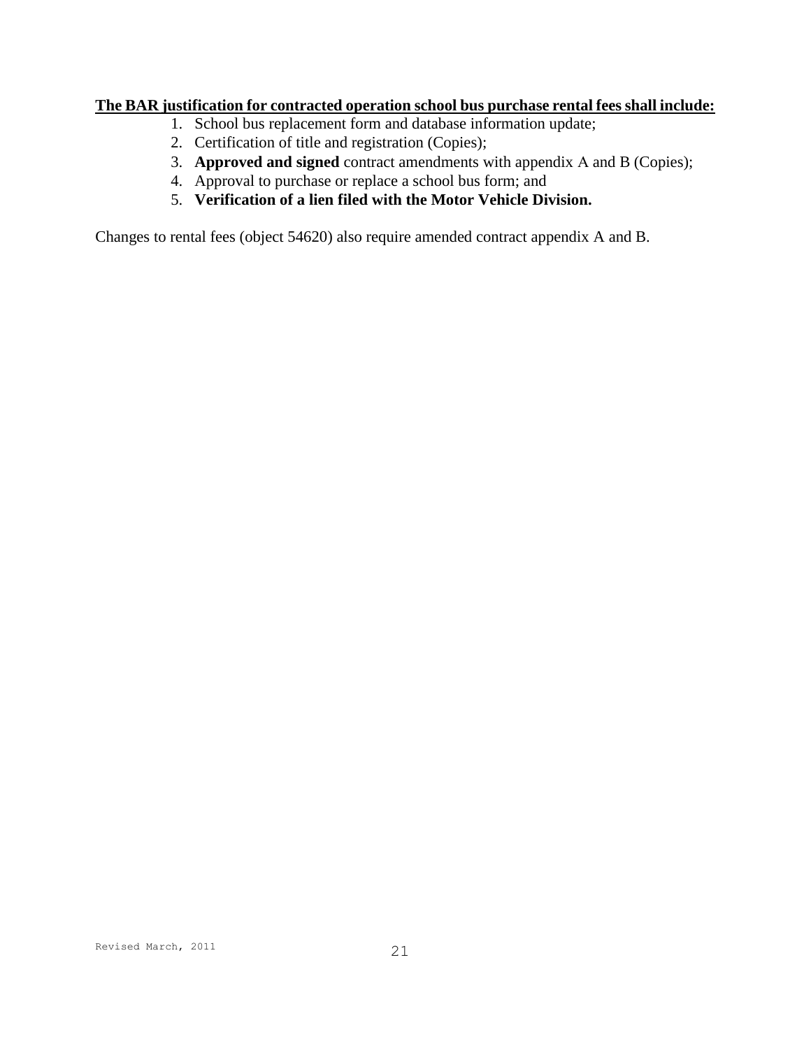### **The BAR justification for contracted operation school bus purchase rental fees shall include:**

- 1. School bus replacement form and database information update;
- 2. Certification of title and registration (Copies);
- 3. **Approved and signed** contract amendments with appendix A and B (Copies);
- 4. Approval to purchase or replace a school bus form; and
- 5. **Verification of a lien filed with the Motor Vehicle Division.**

Changes to rental fees (object 54620) also require amended contract appendix A and B.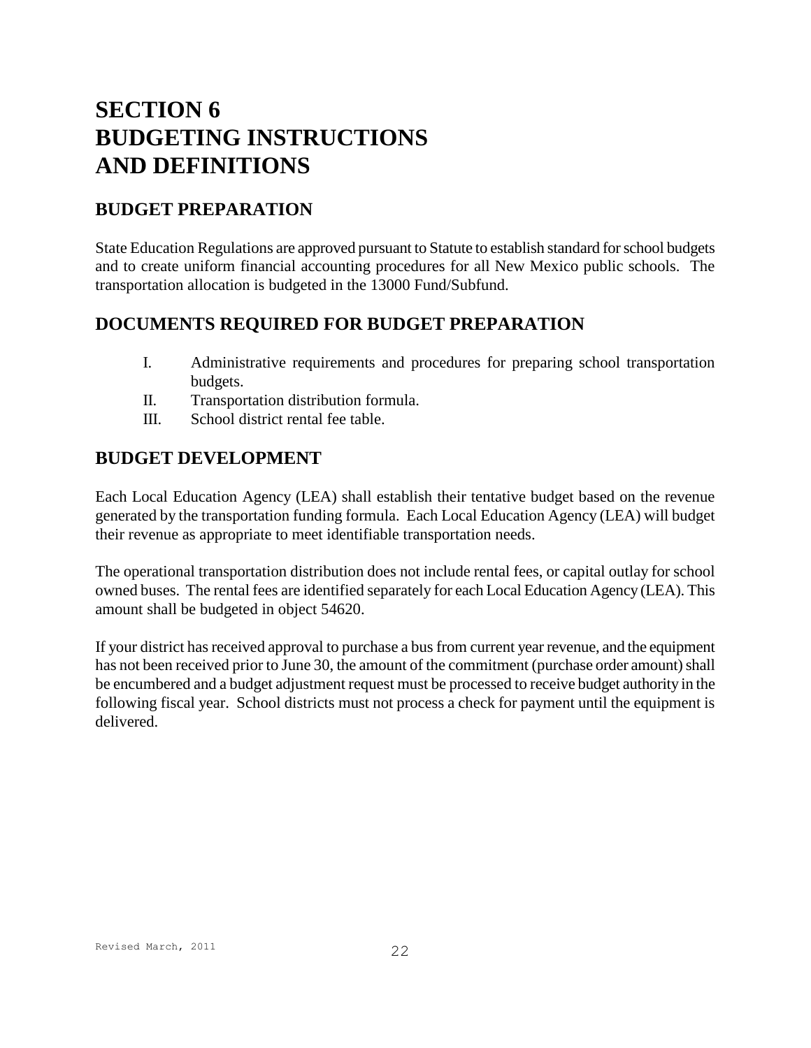# **SECTION 6 BUDGETING INSTRUCTIONS AND DEFINITIONS**

# **BUDGET PREPARATION**

State Education Regulations are approved pursuant to Statute to establish standard for school budgets and to create uniform financial accounting procedures for all New Mexico public schools. The transportation allocation is budgeted in the 13000 Fund/Subfund.

# **DOCUMENTS REQUIRED FOR BUDGET PREPARATION**

- I. Administrative requirements and procedures for preparing school transportation budgets.
- II. Transportation distribution formula.
- III. School district rental fee table.

# **BUDGET DEVELOPMENT**

Each Local Education Agency (LEA) shall establish their tentative budget based on the revenue generated by the transportation funding formula. Each Local Education Agency (LEA) will budget their revenue as appropriate to meet identifiable transportation needs.

The operational transportation distribution does not include rental fees, or capital outlay for school owned buses. The rental fees are identified separately for each Local Education Agency (LEA). This amount shall be budgeted in object 54620.

If your district has received approval to purchase a bus from current year revenue, and the equipment has not been received prior to June 30, the amount of the commitment (purchase order amount) shall be encumbered and a budget adjustment request must be processed to receive budget authority in the following fiscal year. School districts must not process a check for payment until the equipment is delivered.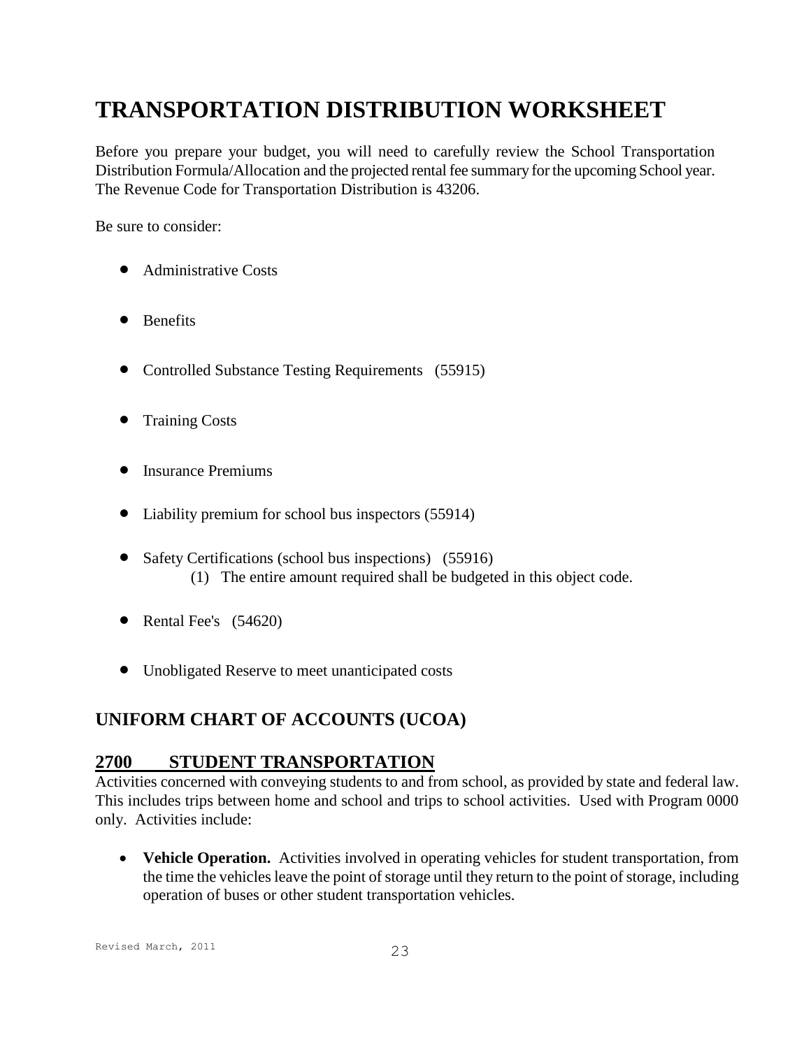# **TRANSPORTATION DISTRIBUTION WORKSHEET**

Before you prepare your budget, you will need to carefully review the School Transportation Distribution Formula/Allocation and the projected rental fee summary for the upcoming School year. The Revenue Code for Transportation Distribution is 43206.

Be sure to consider:

- Administrative Costs
- Benefits
- Controlled Substance Testing Requirements (55915)
- Training Costs
- Insurance Premiums
- Liability premium for school bus inspectors (55914)
- Safety Certifications (school bus inspections) (55916) (1) The entire amount required shall be budgeted in this object code.
- Rental Fee's  $(54620)$
- Unobligated Reserve to meet unanticipated costs

# **UNIFORM CHART OF ACCOUNTS (UCOA)**

## **2700 STUDENT TRANSPORTATION**

Activities concerned with conveying students to and from school, as provided by state and federal law. This includes trips between home and school and trips to school activities. Used with Program 0000 only. Activities include:

 **Vehicle Operation.** Activities involved in operating vehicles for student transportation, from the time the vehicles leave the point of storage until they return to the point of storage, including operation of buses or other student transportation vehicles.

Revised March, 2011 23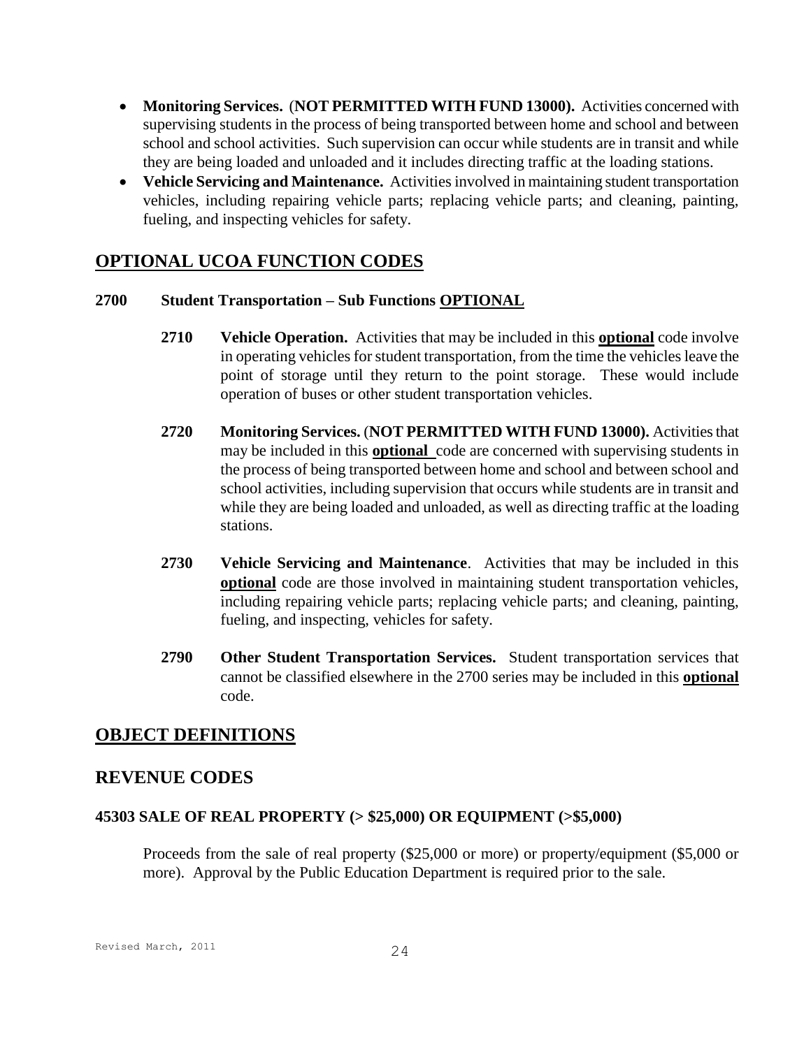- **Monitoring Services.** (**NOT PERMITTED WITH FUND 13000).** Activities concerned with supervising students in the process of being transported between home and school and between school and school activities. Such supervision can occur while students are in transit and while they are being loaded and unloaded and it includes directing traffic at the loading stations.
- **Vehicle Servicing and Maintenance.** Activities involved in maintaining student transportation vehicles, including repairing vehicle parts; replacing vehicle parts; and cleaning, painting, fueling, and inspecting vehicles for safety.

## **OPTIONAL UCOA FUNCTION CODES**

#### **2700 Student Transportation – Sub Functions OPTIONAL**

- **2710 Vehicle Operation.** Activities that may be included in this **optional** code involve in operating vehicles for student transportation, from the time the vehicles leave the point of storage until they return to the point storage. These would include operation of buses or other student transportation vehicles.
- **2720 Monitoring Services.** (**NOT PERMITTED WITH FUND 13000).** Activities that may be included in this **optional** code are concerned with supervising students in the process of being transported between home and school and between school and school activities, including supervision that occurs while students are in transit and while they are being loaded and unloaded, as well as directing traffic at the loading stations.
- **2730 Vehicle Servicing and Maintenance**. Activities that may be included in this **optional** code are those involved in maintaining student transportation vehicles, including repairing vehicle parts; replacing vehicle parts; and cleaning, painting, fueling, and inspecting, vehicles for safety.
- **2790 Other Student Transportation Services.** Student transportation services that cannot be classified elsewhere in the 2700 series may be included in this **optional** code.

## **OBJECT DEFINITIONS**

## **REVENUE CODES**

#### **45303 SALE OF REAL PROPERTY (> \$25,000) OR EQUIPMENT (>\$5,000)**

Proceeds from the sale of real property (\$25,000 or more) or property/equipment (\$5,000 or more). Approval by the Public Education Department is required prior to the sale.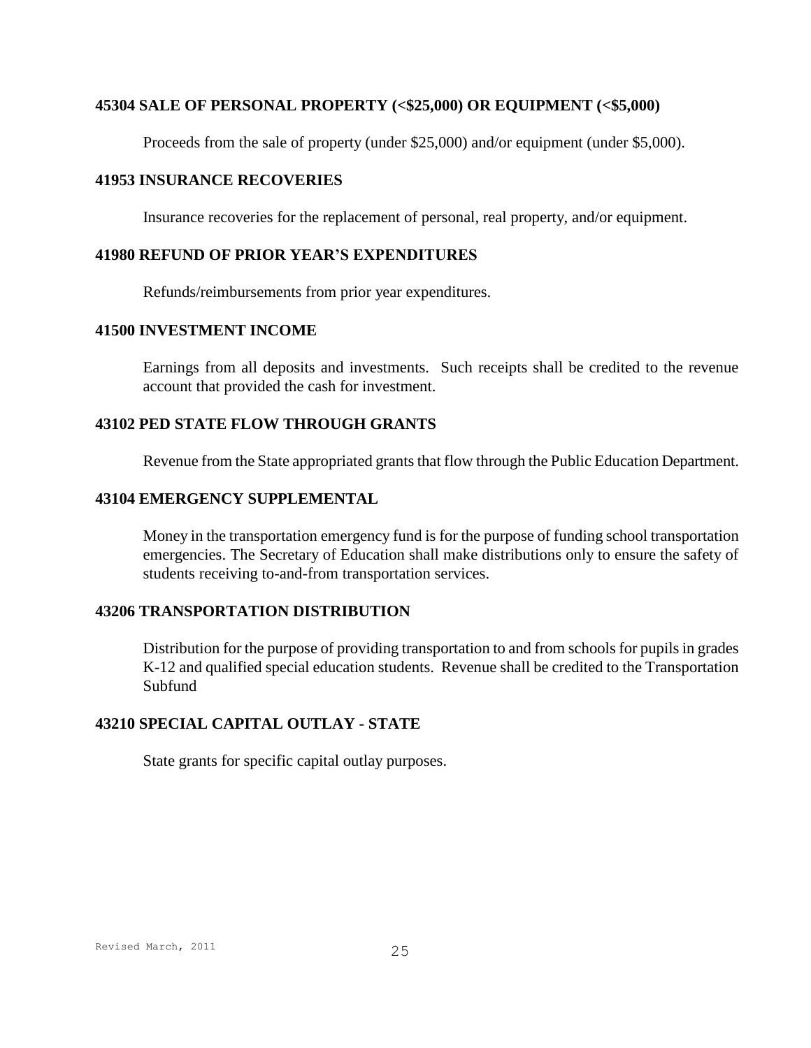#### **45304 SALE OF PERSONAL PROPERTY (<\$25,000) OR EQUIPMENT (<\$5,000)**

Proceeds from the sale of property (under \$25,000) and/or equipment (under \$5,000).

#### **41953 INSURANCE RECOVERIES**

Insurance recoveries for the replacement of personal, real property, and/or equipment.

#### **41980 REFUND OF PRIOR YEAR'S EXPENDITURES**

Refunds/reimbursements from prior year expenditures.

#### **41500 INVESTMENT INCOME**

Earnings from all deposits and investments. Such receipts shall be credited to the revenue account that provided the cash for investment.

#### **43102 PED STATE FLOW THROUGH GRANTS**

Revenue from the State appropriated grants that flow through the Public Education Department.

#### **43104 EMERGENCY SUPPLEMENTAL**

Money in the transportation emergency fund is for the purpose of funding school transportation emergencies. The Secretary of Education shall make distributions only to ensure the safety of students receiving to-and-from transportation services.

### **43206 TRANSPORTATION DISTRIBUTION**

Distribution for the purpose of providing transportation to and from schools for pupils in grades K-12 and qualified special education students. Revenue shall be credited to the Transportation Subfund

#### **43210 SPECIAL CAPITAL OUTLAY - STATE**

State grants for specific capital outlay purposes.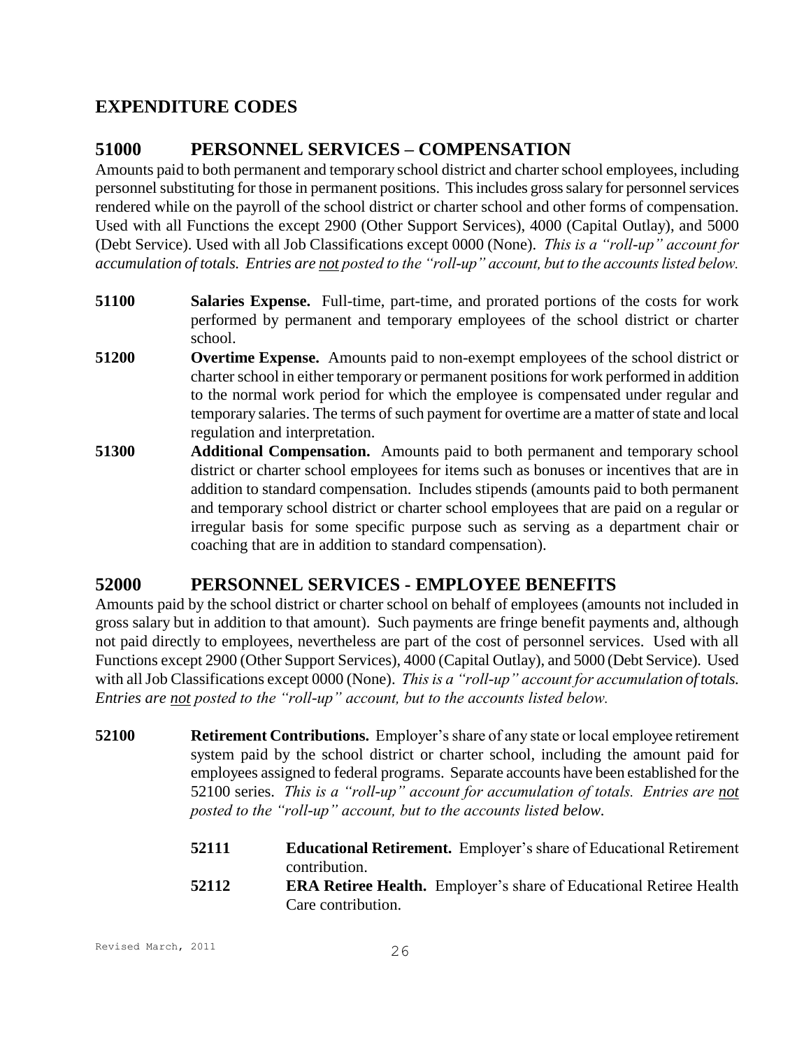# **EXPENDITURE CODES**

# **51000 PERSONNEL SERVICES – COMPENSATION**

Amounts paid to both permanent and temporary school district and charter school employees, including personnel substituting for those in permanent positions. This includes gross salary for personnel services rendered while on the payroll of the school district or charter school and other forms of compensation. Used with all Functions the except 2900 (Other Support Services), 4000 (Capital Outlay), and 5000 (Debt Service). Used with all Job Classifications except 0000 (None). *This is a "roll-up" account for accumulation of totals. Entries are not posted to the "roll-up" account, but to the accounts listed below.*

- **51100 Salaries Expense.** Full-time, part-time, and prorated portions of the costs for work performed by permanent and temporary employees of the school district or charter school.
- **51200 Overtime Expense.** Amounts paid to non-exempt employees of the school district or charter school in either temporary or permanent positions for work performed in addition to the normal work period for which the employee is compensated under regular and temporary salaries. The terms of such payment for overtime are a matter of state and local regulation and interpretation.
- **51300 Additional Compensation.** Amounts paid to both permanent and temporary school district or charter school employees for items such as bonuses or incentives that are in addition to standard compensation. Includes stipends (amounts paid to both permanent and temporary school district or charter school employees that are paid on a regular or irregular basis for some specific purpose such as serving as a department chair or coaching that are in addition to standard compensation).

# **52000 PERSONNEL SERVICES - EMPLOYEE BENEFITS**

Amounts paid by the school district or charter school on behalf of employees (amounts not included in gross salary but in addition to that amount). Such payments are fringe benefit payments and, although not paid directly to employees, nevertheless are part of the cost of personnel services. Used with all Functions except 2900 (Other Support Services), 4000 (Capital Outlay), and 5000 (Debt Service). Used with all Job Classifications except 0000 (None). *This is a "roll-up" account for accumulation of totals. Entries are not posted to the "roll-up" account, but to the accounts listed below.*

- **52100 Retirement Contributions.** Employer's share of any state or local employee retirement system paid by the school district or charter school, including the amount paid for employees assigned to federal programs. Separate accounts have been established for the 52100 series. *This is a "roll-up" account for accumulation of totals. Entries are not posted to the "roll-up" account, but to the accounts listed below.*
	- **52111 Educational Retirement.** Employer's share of Educational Retirement contribution.
	- **52112 ERA Retiree Health.** Employer's share of Educational Retiree Health Care contribution.

Revised March, 2011 26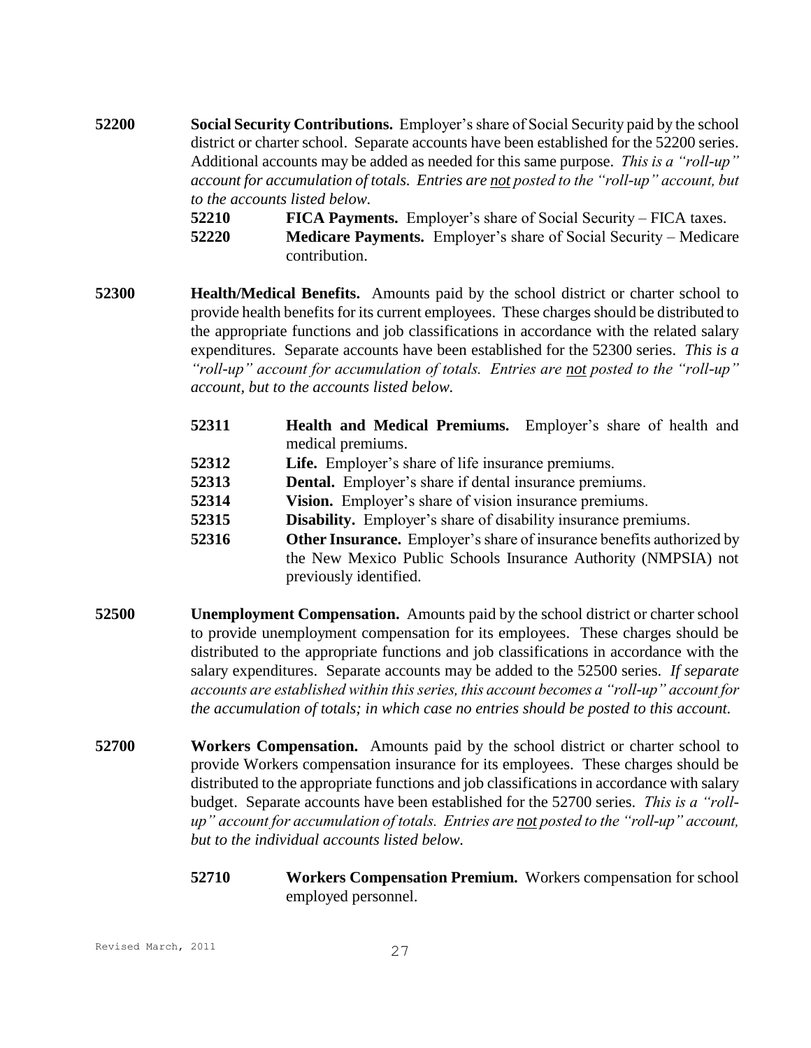**52200 Social Security Contributions.** Employer's share of Social Security paid by the school district or charter school. Separate accounts have been established for the 52200 series. Additional accounts may be added as needed for this same purpose. *This is a "roll-up" account for accumulation of totals. Entries are not posted to the "roll-up" account, but to the accounts listed below.*

> **52210 FICA Payments.** Employer's share of Social Security – FICA taxes. **52220 Medicare Payments.** Employer's share of Social Security – Medicare contribution.

- **52300 Health/Medical Benefits.** Amounts paid by the school district or charter school to provide health benefits for its current employees. These charges should be distributed to the appropriate functions and job classifications in accordance with the related salary expenditures. Separate accounts have been established for the 52300 series. *This is a "roll-up" account for accumulation of totals. Entries are not posted to the "roll-up" account, but to the accounts listed below.*
	- **52311 Health and Medical Premiums.** Employer's share of health and medical premiums.
	- **52312 Life.** Employer's share of life insurance premiums.
	- **52313 Dental.** Employer's share if dental insurance premiums.
	- **52314 Vision.** Employer's share of vision insurance premiums.
	- **52315 Disability.** Employer's share of disability insurance premiums.
	- **52316 Other Insurance.** Employer's share of insurance benefits authorized by the New Mexico Public Schools Insurance Authority (NMPSIA) not previously identified.
- **52500 Unemployment Compensation.** Amounts paid by the school district or charter school to provide unemployment compensation for its employees. These charges should be distributed to the appropriate functions and job classifications in accordance with the salary expenditures. Separate accounts may be added to the 52500 series. *If separate accounts are established within this series, this account becomes a "roll-up" account for the accumulation of totals; in which case no entries should be posted to this account.*
- **52700 Workers Compensation.** Amounts paid by the school district or charter school to provide Workers compensation insurance for its employees. These charges should be distributed to the appropriate functions and job classifications in accordance with salary budget. Separate accounts have been established for the 52700 series. *This is a "rollup" account for accumulation of totals. Entries are not posted to the "roll-up" account, but to the individual accounts listed below.*
	- **52710 Workers Compensation Premium.** Workers compensation for school employed personnel.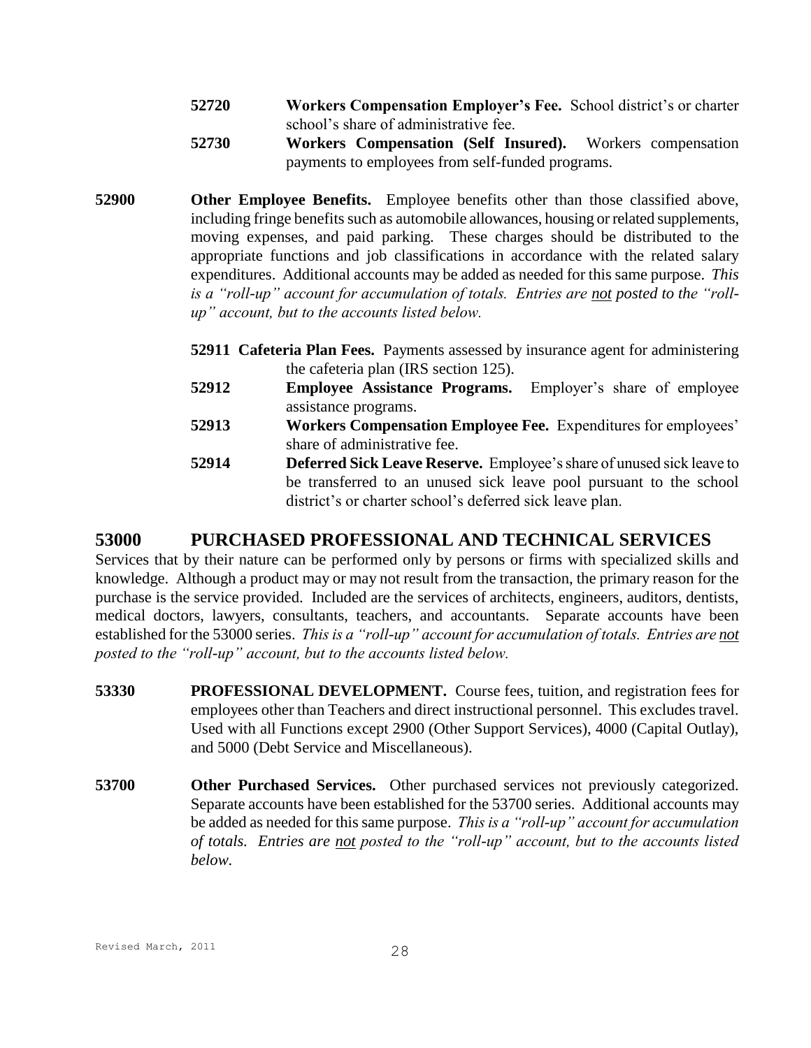- **52720 Workers Compensation Employer's Fee.** School district's or charter school's share of administrative fee.
- **52730 Workers Compensation (Self Insured).** Workers compensation payments to employees from self-funded programs.
- **52900 Other Employee Benefits.** Employee benefits other than those classified above, including fringe benefits such as automobile allowances, housing or related supplements, moving expenses, and paid parking. These charges should be distributed to the appropriate functions and job classifications in accordance with the related salary expenditures. Additional accounts may be added as needed for this same purpose. *This is a "roll-up" account for accumulation of totals. Entries are not posted to the "rollup" account, but to the accounts listed below.*
	- **52911 Cafeteria Plan Fees.** Payments assessed by insurance agent for administering the cafeteria plan (IRS section 125).
	- **52912 Employee Assistance Programs.** Employer's share of employee assistance programs.
	- **52913 Workers Compensation Employee Fee.** Expenditures for employees' share of administrative fee.
	- **52914 Deferred Sick Leave Reserve.** Employee's share of unused sick leave to be transferred to an unused sick leave pool pursuant to the school district's or charter school's deferred sick leave plan.

# **53000 PURCHASED PROFESSIONAL AND TECHNICAL SERVICES**

Services that by their nature can be performed only by persons or firms with specialized skills and knowledge. Although a product may or may not result from the transaction, the primary reason for the purchase is the service provided. Included are the services of architects, engineers, auditors, dentists, medical doctors, lawyers, consultants, teachers, and accountants. Separate accounts have been established for the 53000 series. *This is a "roll-up" account for accumulation of totals. Entries are not posted to the "roll-up" account, but to the accounts listed below.*

- **53330 PROFESSIONAL DEVELOPMENT.** Course fees, tuition, and registration fees for employees other than Teachers and direct instructional personnel. This excludes travel. Used with all Functions except 2900 (Other Support Services), 4000 (Capital Outlay), and 5000 (Debt Service and Miscellaneous).
- **53700 Other Purchased Services.** Other purchased services not previously categorized. Separate accounts have been established for the 53700 series. Additional accounts may be added as needed for this same purpose. *This is a "roll-up" account for accumulation of totals. Entries are not posted to the "roll-up" account, but to the accounts listed below.*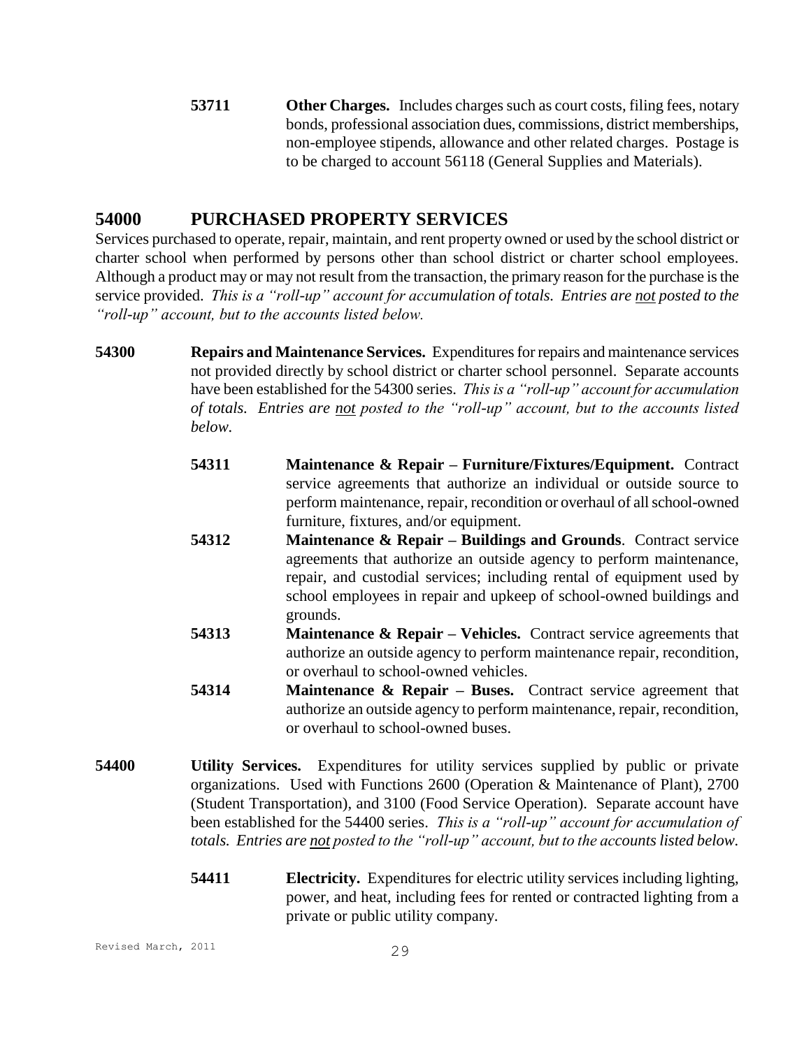**53711 Other Charges.** Includes charges such as court costs, filing fees, notary bonds, professional association dues, commissions, district memberships, non-employee stipends, allowance and other related charges. Postage is to be charged to account 56118 (General Supplies and Materials).

## **54000 PURCHASED PROPERTY SERVICES**

Services purchased to operate, repair, maintain, and rent property owned or used by the school district or charter school when performed by persons other than school district or charter school employees. Although a product may or may not result from the transaction, the primary reason for the purchase is the service provided. *This is a "roll-up" account for accumulation of totals. Entries are not posted to the "roll-up" account, but to the accounts listed below.*

- **54300 Repairs and Maintenance Services.** Expenditures for repairs and maintenance services not provided directly by school district or charter school personnel. Separate accounts have been established for the 54300 series. *This is a "roll-up" account for accumulation of totals. Entries are not posted to the "roll-up" account, but to the accounts listed below.*
	- **54311 Maintenance & Repair – Furniture/Fixtures/Equipment.** Contract service agreements that authorize an individual or outside source to perform maintenance, repair, recondition or overhaul of all school-owned furniture, fixtures, and/or equipment.
	- **54312 Maintenance & Repair – Buildings and Grounds**. Contract service agreements that authorize an outside agency to perform maintenance, repair, and custodial services; including rental of equipment used by school employees in repair and upkeep of school-owned buildings and grounds.
	- **54313 Maintenance & Repair – Vehicles.** Contract service agreements that authorize an outside agency to perform maintenance repair, recondition, or overhaul to school-owned vehicles.
	- **54314 Maintenance & Repair – Buses.** Contract service agreement that authorize an outside agency to perform maintenance, repair, recondition, or overhaul to school-owned buses.
- **54400 Utility Services.** Expenditures for utility services supplied by public or private organizations. Used with Functions 2600 (Operation & Maintenance of Plant), 2700 (Student Transportation), and 3100 (Food Service Operation). Separate account have been established for the 54400 series. *This is a "roll-up" account for accumulation of totals. Entries are not posted to the "roll-up" account, but to the accounts listed below.*
	- **54411 Electricity.** Expenditures for electric utility services including lighting, power, and heat, including fees for rented or contracted lighting from a private or public utility company.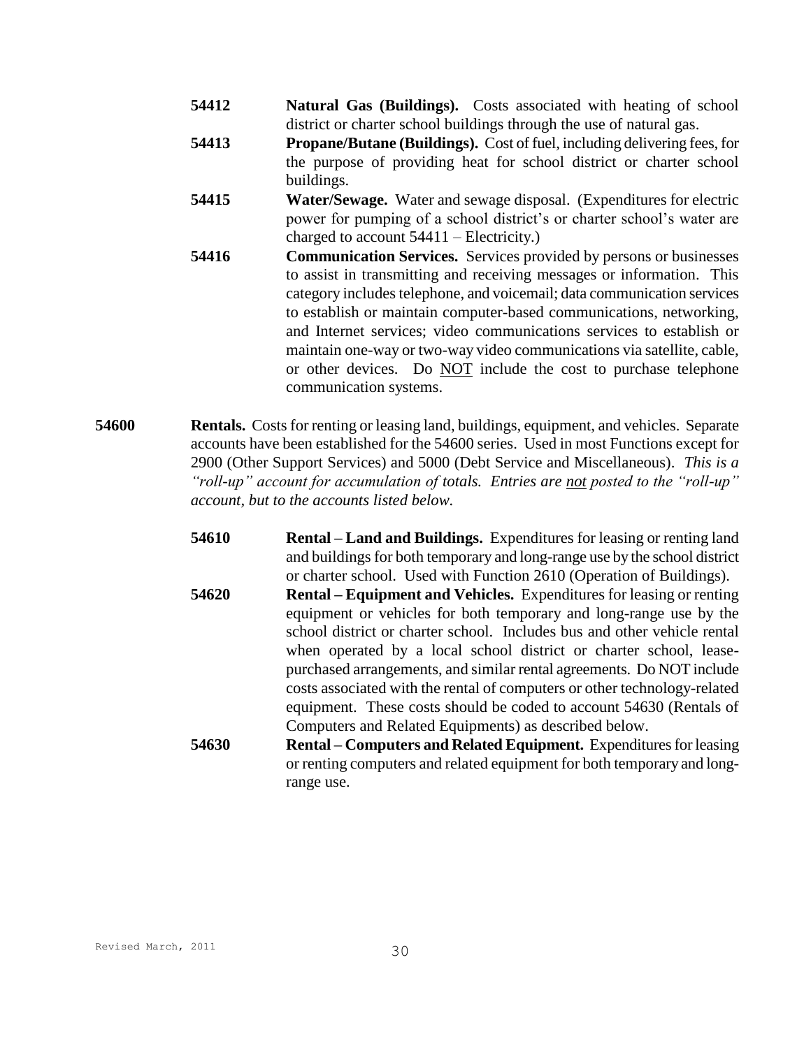- **54412 Natural Gas (Buildings).** Costs associated with heating of school district or charter school buildings through the use of natural gas.
- **54413 Propane/Butane (Buildings).** Cost of fuel, including delivering fees, for the purpose of providing heat for school district or charter school buildings.
- **54415 Water/Sewage.** Water and sewage disposal. (Expenditures for electric power for pumping of a school district's or charter school's water are charged to account 54411 – Electricity.)
- **54416 Communication Services.** Services provided by persons or businesses to assist in transmitting and receiving messages or information. This category includes telephone, and voicemail; data communication services to establish or maintain computer-based communications, networking, and Internet services; video communications services to establish or maintain one-way or two-way video communications via satellite, cable, or other devices. Do NOT include the cost to purchase telephone communication systems.
- **54600 Rentals.** Costs for renting or leasing land, buildings, equipment, and vehicles. Separate accounts have been established for the 54600 series. Used in most Functions except for 2900 (Other Support Services) and 5000 (Debt Service and Miscellaneous). *This is a "roll-up" account for accumulation of totals. Entries are not posted to the "roll-up" account, but to the accounts listed below.*
	- **54610 Rental – Land and Buildings.** Expenditures for leasing or renting land and buildings for both temporary and long-range use by the school district or charter school. Used with Function 2610 (Operation of Buildings).
	- **54620 Rental – Equipment and Vehicles.** Expenditures for leasing or renting equipment or vehicles for both temporary and long-range use by the school district or charter school. Includes bus and other vehicle rental when operated by a local school district or charter school, leasepurchased arrangements, and similar rental agreements. Do NOT include costs associated with the rental of computers or other technology-related equipment. These costs should be coded to account 54630 (Rentals of Computers and Related Equipments) as described below.
	- **54630 Rental – Computers and Related Equipment.** Expenditures for leasing or renting computers and related equipment for both temporary and longrange use.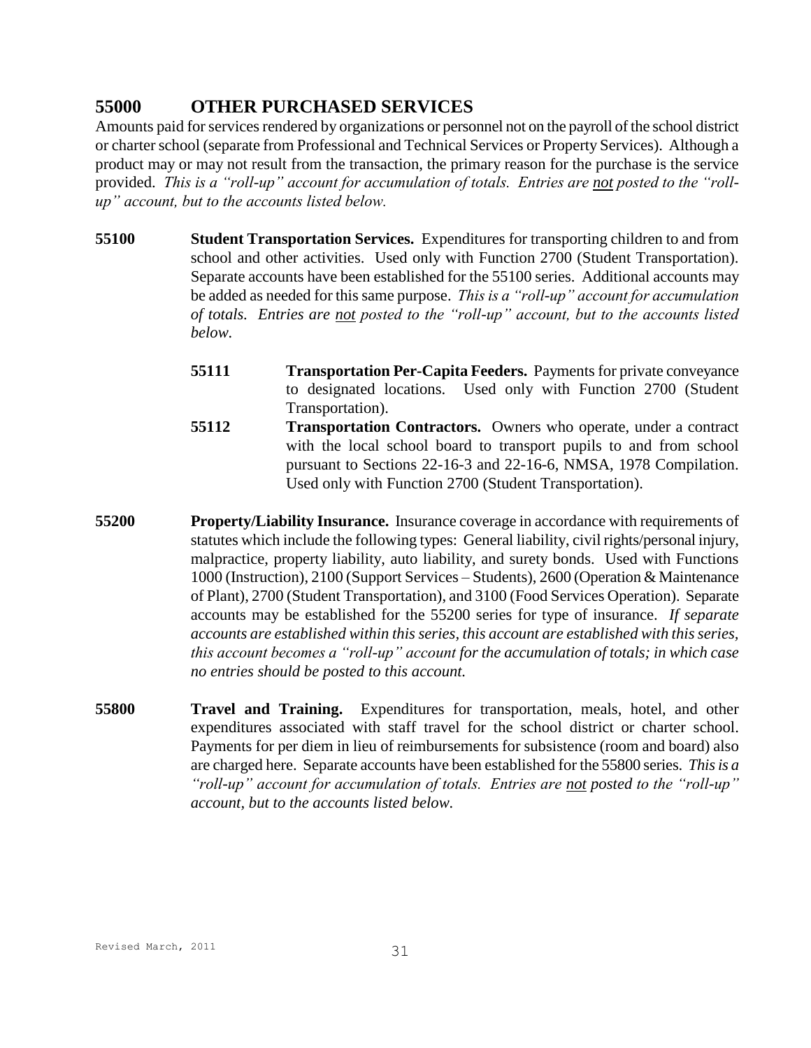# **55000 OTHER PURCHASED SERVICES**

Amounts paid for services rendered by organizations or personnel not on the payroll of the school district or charter school (separate from Professional and Technical Services or Property Services). Although a product may or may not result from the transaction, the primary reason for the purchase is the service provided. *This is a "roll-up" account for accumulation of totals. Entries are not posted to the "rollup" account, but to the accounts listed below.*

- **55100 Student Transportation Services.** Expenditures for transporting children to and from school and other activities. Used only with Function 2700 (Student Transportation). Separate accounts have been established for the 55100 series. Additional accounts may be added as needed for this same purpose. *This is a "roll-up" account for accumulation of totals. Entries are not posted to the "roll-up" account, but to the accounts listed below.*
	- **55111 Transportation Per-Capita Feeders.** Payments for private conveyance to designated locations. Used only with Function 2700 (Student Transportation).
	- **55112 Transportation Contractors.** Owners who operate, under a contract with the local school board to transport pupils to and from school pursuant to Sections 22-16-3 and 22-16-6, NMSA, 1978 Compilation. Used only with Function 2700 (Student Transportation).
- **55200 Property/Liability Insurance.** Insurance coverage in accordance with requirements of statutes which include the following types: General liability, civil rights/personal injury, malpractice, property liability, auto liability, and surety bonds. Used with Functions 1000 (Instruction), 2100 (Support Services – Students), 2600 (Operation & Maintenance of Plant), 2700 (Student Transportation), and 3100 (Food Services Operation). Separate accounts may be established for the 55200 series for type of insurance. *If separate accounts are established within this series, this account are established with this series, this account becomes a "roll-up" account for the accumulation of totals; in which case no entries should be posted to this account.*
- **55800 Travel and Training.** Expenditures for transportation, meals, hotel, and other expenditures associated with staff travel for the school district or charter school. Payments for per diem in lieu of reimbursements for subsistence (room and board) also are charged here. Separate accounts have been established for the 55800 series. *This is a "roll-up" account for accumulation of totals. Entries are not posted to the "roll-up" account, but to the accounts listed below.*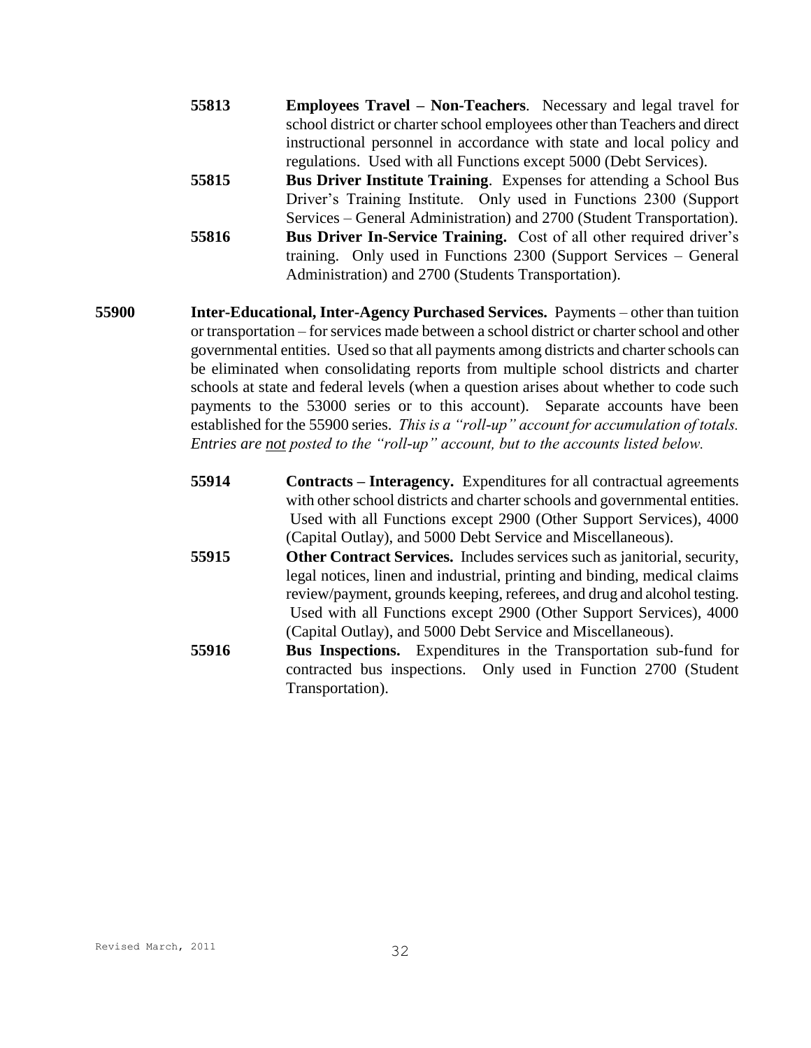- **55813 Employees Travel – Non-Teachers**. Necessary and legal travel for school district or charter school employees other than Teachers and direct instructional personnel in accordance with state and local policy and regulations. Used with all Functions except 5000 (Debt Services).
- **55815 Bus Driver Institute Training**. Expenses for attending a School Bus Driver's Training Institute. Only used in Functions 2300 (Support Services – General Administration) and 2700 (Student Transportation). **55816 Bus Driver In-Service Training.** Cost of all other required driver's training. Only used in Functions 2300 (Support Services – General Administration) and 2700 (Students Transportation).
- **55900 Inter-Educational, Inter-Agency Purchased Services.** Payments other than tuition or transportation – for services made between a school district or charter school and other governmental entities. Used so that all payments among districts and charter schools can be eliminated when consolidating reports from multiple school districts and charter schools at state and federal levels (when a question arises about whether to code such payments to the 53000 series or to this account). Separate accounts have been established for the 55900 series. *This is a "roll-up" account for accumulation of totals. Entries are not posted to the "roll-up" account, but to the accounts listed below.*
	- **55914 Contracts – Interagency.** Expenditures for all contractual agreements with other school districts and charter schools and governmental entities. Used with all Functions except 2900 (Other Support Services), 4000 (Capital Outlay), and 5000 Debt Service and Miscellaneous).
	- **55915 Other Contract Services.** Includes services such as janitorial, security, legal notices, linen and industrial, printing and binding, medical claims review/payment, grounds keeping, referees, and drug and alcohol testing. Used with all Functions except 2900 (Other Support Services), 4000 (Capital Outlay), and 5000 Debt Service and Miscellaneous).
	- **55916 Bus Inspections.** Expenditures in the Transportation sub-fund for contracted bus inspections. Only used in Function 2700 (Student Transportation).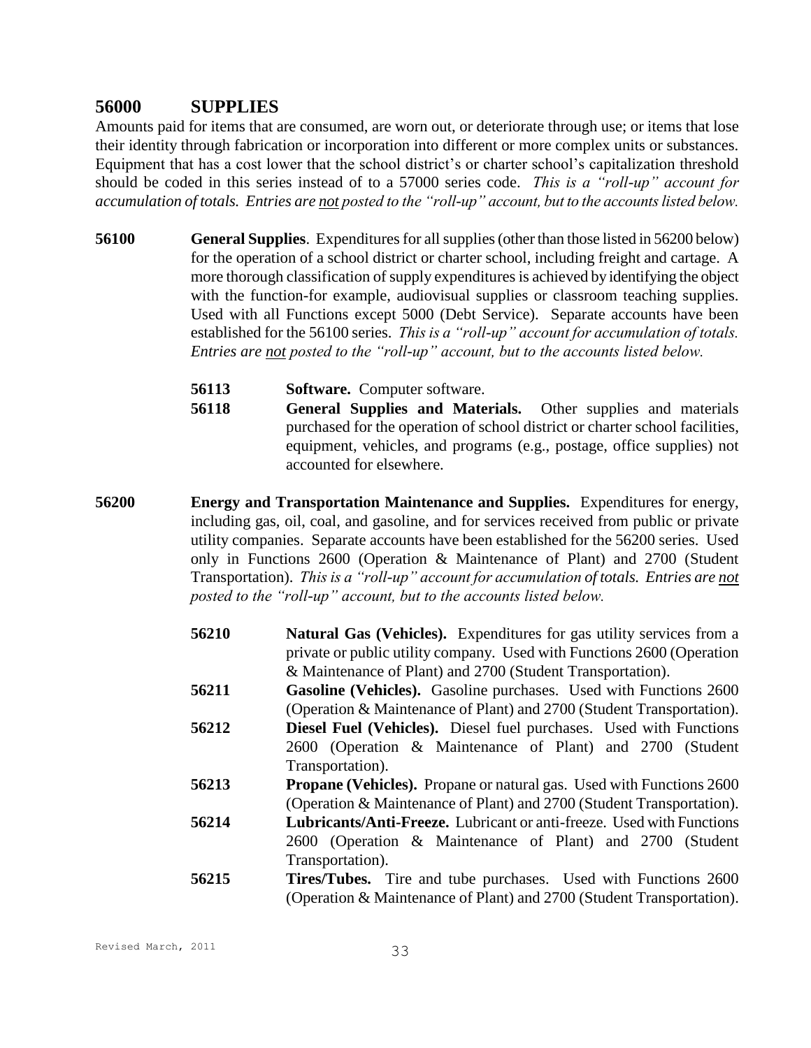## **56000 SUPPLIES**

Amounts paid for items that are consumed, are worn out, or deteriorate through use; or items that lose their identity through fabrication or incorporation into different or more complex units or substances. Equipment that has a cost lower that the school district's or charter school's capitalization threshold should be coded in this series instead of to a 57000 series code. *This is a "roll-up" account for accumulation of totals. Entries are not posted to the "roll-up" account, but to the accounts listed below.*

- **56100 General Supplies**. Expenditures for all supplies (other than those listed in 56200 below) for the operation of a school district or charter school, including freight and cartage. A more thorough classification of supply expenditures is achieved by identifying the object with the function-for example, audiovisual supplies or classroom teaching supplies. Used with all Functions except 5000 (Debt Service). Separate accounts have been established for the 56100 series. *This is a "roll-up" account for accumulation of totals. Entries are not posted to the "roll-up" account, but to the accounts listed below.*
	- **56113 Software.** Computer software.
	- **56118 General Supplies and Materials.** Other supplies and materials purchased for the operation of school district or charter school facilities, equipment, vehicles, and programs (e.g., postage, office supplies) not accounted for elsewhere.
- **56200 Energy and Transportation Maintenance and Supplies.** Expenditures for energy, including gas, oil, coal, and gasoline, and for services received from public or private utility companies. Separate accounts have been established for the 56200 series. Used only in Functions 2600 (Operation & Maintenance of Plant) and 2700 (Student Transportation). *This is a "roll-up" account for accumulation of totals. Entries are not posted to the "roll-up" account, but to the accounts listed below.*
	- **56210 Natural Gas (Vehicles).** Expenditures for gas utility services from a private or public utility company. Used with Functions 2600 (Operation & Maintenance of Plant) and 2700 (Student Transportation).
	- **56211 Gasoline (Vehicles).** Gasoline purchases. Used with Functions 2600 (Operation & Maintenance of Plant) and 2700 (Student Transportation).
	- **56212 Diesel Fuel (Vehicles).** Diesel fuel purchases. Used with Functions 2600 (Operation & Maintenance of Plant) and 2700 (Student Transportation).
	- **56213 Propane (Vehicles).** Propane or natural gas. Used with Functions 2600 (Operation & Maintenance of Plant) and 2700 (Student Transportation).
	- **56214 Lubricants/Anti-Freeze.** Lubricant or anti-freeze. Used with Functions 2600 (Operation & Maintenance of Plant) and 2700 (Student Transportation).
	- **56215 Tires/Tubes.** Tire and tube purchases. Used with Functions 2600 (Operation & Maintenance of Plant) and 2700 (Student Transportation).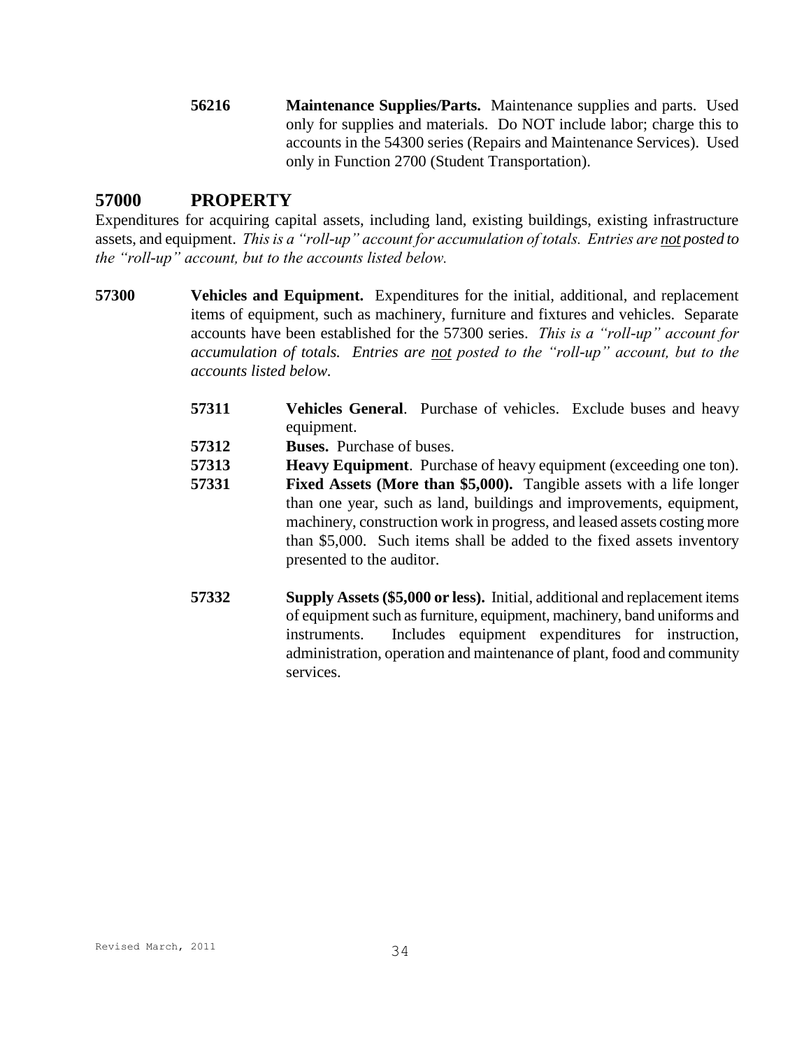**56216 Maintenance Supplies/Parts.** Maintenance supplies and parts. Used only for supplies and materials. Do NOT include labor; charge this to accounts in the 54300 series (Repairs and Maintenance Services). Used only in Function 2700 (Student Transportation).

## **57000 PROPERTY**

Expenditures for acquiring capital assets, including land, existing buildings, existing infrastructure assets, and equipment. *This is a "roll-up" account for accumulation of totals. Entries are not posted to the "roll-up" account, but to the accounts listed below.*

- **57300 Vehicles and Equipment.** Expenditures for the initial, additional, and replacement items of equipment, such as machinery, furniture and fixtures and vehicles. Separate accounts have been established for the 57300 series. *This is a "roll-up" account for accumulation of totals. Entries are not posted to the "roll-up" account, but to the accounts listed below.*
	- **57311 Vehicles General**. Purchase of vehicles. Exclude buses and heavy equipment.
	- **57312 Buses.** Purchase of buses.
	- **57313 Heavy Equipment**. Purchase of heavy equipment (exceeding one ton).
	- **57331 Fixed Assets (More than \$5,000).** Tangible assets with a life longer than one year, such as land, buildings and improvements, equipment, machinery, construction work in progress, and leased assets costing more than \$5,000. Such items shall be added to the fixed assets inventory presented to the auditor.
	- **57332 Supply Assets (\$5,000 or less).** Initial, additional and replacement items of equipment such as furniture, equipment, machinery, band uniforms and instruments. Includes equipment expenditures for instruction, administration, operation and maintenance of plant, food and community services.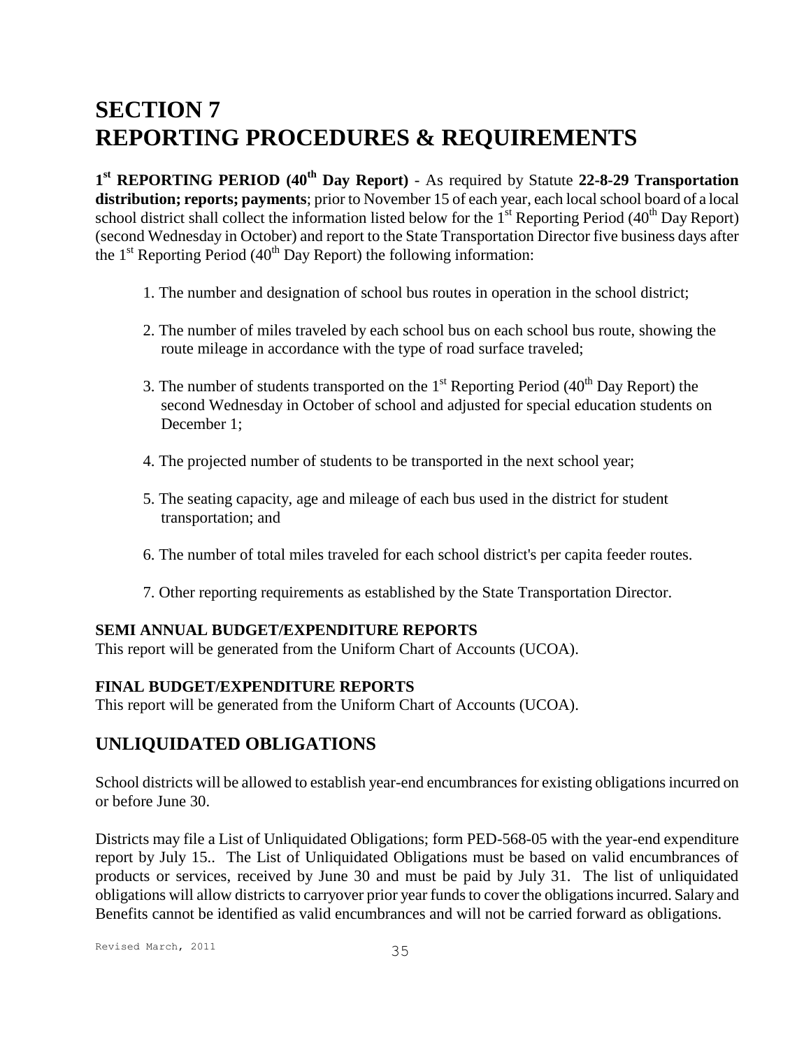# **SECTION 7 REPORTING PROCEDURES & REQUIREMENTS**

**1 st REPORTING PERIOD (40th Day Report)** - As required by Statute **22-8-29 Transportation distribution; reports; payments**; prior to November 15 of each year, each local school board of a local school district shall collect the information listed below for the  $1<sup>st</sup>$  Reporting Period (40<sup>th</sup> Day Report) (second Wednesday in October) and report to the State Transportation Director five business days after the  $1<sup>st</sup>$  Reporting Period (40<sup>th</sup> Day Report) the following information:

- 1. The number and designation of school bus routes in operation in the school district;
- 2. The number of miles traveled by each school bus on each school bus route, showing the route mileage in accordance with the type of road surface traveled;
- 3. The number of students transported on the  $1<sup>st</sup>$  Reporting Period (40<sup>th</sup> Day Report) the second Wednesday in October of school and adjusted for special education students on December 1;
- 4. The projected number of students to be transported in the next school year;
- 5. The seating capacity, age and mileage of each bus used in the district for student transportation; and
- 6. The number of total miles traveled for each school district's per capita feeder routes.
- 7. Other reporting requirements as established by the State Transportation Director.

#### **SEMI ANNUAL BUDGET/EXPENDITURE REPORTS**

This report will be generated from the Uniform Chart of Accounts (UCOA).

#### **FINAL BUDGET/EXPENDITURE REPORTS**

This report will be generated from the Uniform Chart of Accounts (UCOA).

## **UNLIQUIDATED OBLIGATIONS**

School districts will be allowed to establish year-end encumbrances for existing obligations incurred on or before June 30.

Districts may file a List of Unliquidated Obligations; form PED-568-05 with the year-end expenditure report by July 15.. The List of Unliquidated Obligations must be based on valid encumbrances of products or services, received by June 30 and must be paid by July 31. The list of unliquidated obligations will allow districts to carryover prior year funds to cover the obligations incurred. Salary and Benefits cannot be identified as valid encumbrances and will not be carried forward as obligations.

Revised March, 2011 35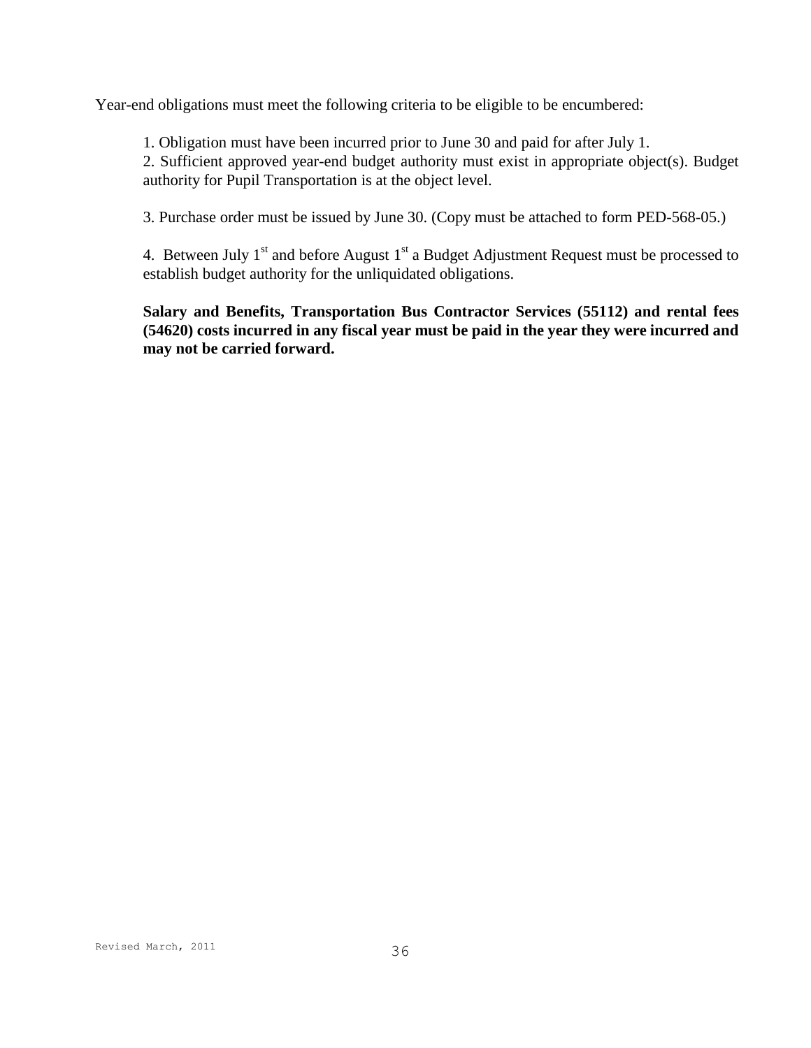Year-end obligations must meet the following criteria to be eligible to be encumbered:

1. Obligation must have been incurred prior to June 30 and paid for after July 1.

2. Sufficient approved year-end budget authority must exist in appropriate object(s). Budget authority for Pupil Transportation is at the object level.

3. Purchase order must be issued by June 30. (Copy must be attached to form PED-568-05.)

4. Between July  $1<sup>st</sup>$  and before August  $1<sup>st</sup>$  a Budget Adjustment Request must be processed to establish budget authority for the unliquidated obligations.

**Salary and Benefits, Transportation Bus Contractor Services (55112) and rental fees (54620) costs incurred in any fiscal year must be paid in the year they were incurred and may not be carried forward.**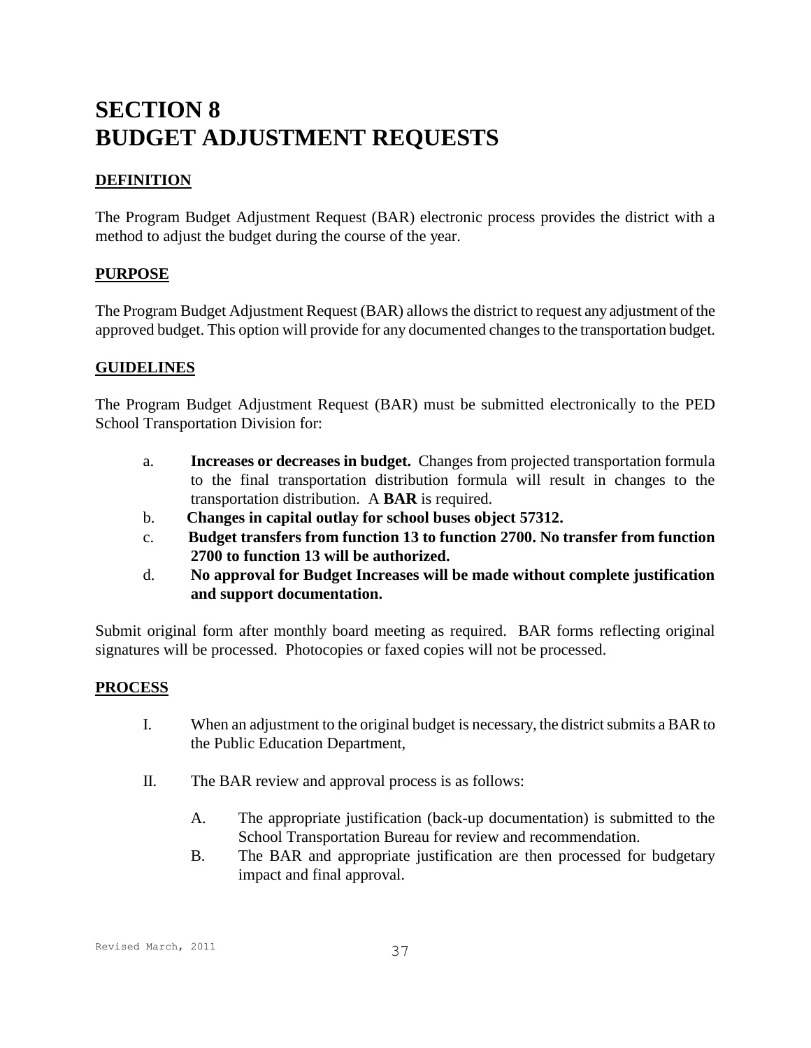# **SECTION 8 BUDGET ADJUSTMENT REQUESTS**

## **DEFINITION**

The Program Budget Adjustment Request (BAR) electronic process provides the district with a method to adjust the budget during the course of the year.

### **PURPOSE**

The Program Budget Adjustment Request (BAR) allows the district to request any adjustment of the approved budget. This option will provide for any documented changes to the transportation budget.

### **GUIDELINES**

The Program Budget Adjustment Request (BAR) must be submitted electronically to the PED School Transportation Division for:

- a. **Increases or decreases in budget.** Changes from projected transportation formula to the final transportation distribution formula will result in changes to the transportation distribution. A **BAR** is required.
- b. **Changes in capital outlay for school buses object 57312.**
- c. **Budget transfers from function 13 to function 2700. No transfer from function 2700 to function 13 will be authorized.**
- d. **No approval for Budget Increases will be made without complete justification and support documentation.**

Submit original form after monthly board meeting as required. BAR forms reflecting original signatures will be processed. Photocopies or faxed copies will not be processed.

#### **PROCESS**

- I. When an adjustment to the original budget is necessary, the district submits a BAR to the Public Education Department,
- II. The BAR review and approval process is as follows:
	- A. The appropriate justification (back-up documentation) is submitted to the School Transportation Bureau for review and recommendation.
	- B. The BAR and appropriate justification are then processed for budgetary impact and final approval.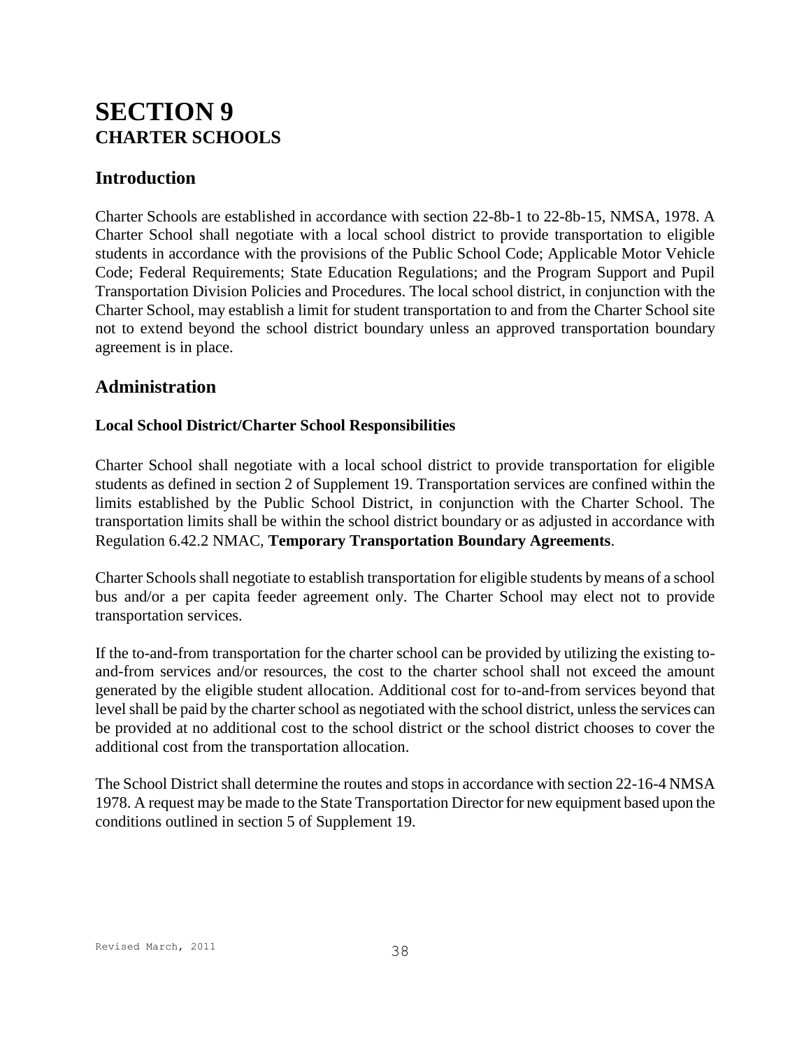# **SECTION 9 CHARTER SCHOOLS**

## **Introduction**

Charter Schools are established in accordance with section 22-8b-1 to 22-8b-15, NMSA, 1978. A Charter School shall negotiate with a local school district to provide transportation to eligible students in accordance with the provisions of the Public School Code; Applicable Motor Vehicle Code; Federal Requirements; State Education Regulations; and the Program Support and Pupil Transportation Division Policies and Procedures. The local school district, in conjunction with the Charter School, may establish a limit for student transportation to and from the Charter School site not to extend beyond the school district boundary unless an approved transportation boundary agreement is in place.

## **Administration**

## **Local School District/Charter School Responsibilities**

Charter School shall negotiate with a local school district to provide transportation for eligible students as defined in section 2 of Supplement 19. Transportation services are confined within the limits established by the Public School District, in conjunction with the Charter School. The transportation limits shall be within the school district boundary or as adjusted in accordance with Regulation 6.42.2 NMAC, **Temporary Transportation Boundary Agreements**.

Charter Schools shall negotiate to establish transportation for eligible students by means of a school bus and/or a per capita feeder agreement only. The Charter School may elect not to provide transportation services.

If the to-and-from transportation for the charter school can be provided by utilizing the existing toand-from services and/or resources, the cost to the charter school shall not exceed the amount generated by the eligible student allocation. Additional cost for to-and-from services beyond that level shall be paid by the charter school as negotiated with the school district, unless the services can be provided at no additional cost to the school district or the school district chooses to cover the additional cost from the transportation allocation.

The School District shall determine the routes and stops in accordance with section 22-16-4 NMSA 1978. A request may be made to the State Transportation Director for new equipment based upon the conditions outlined in section 5 of Supplement 19.